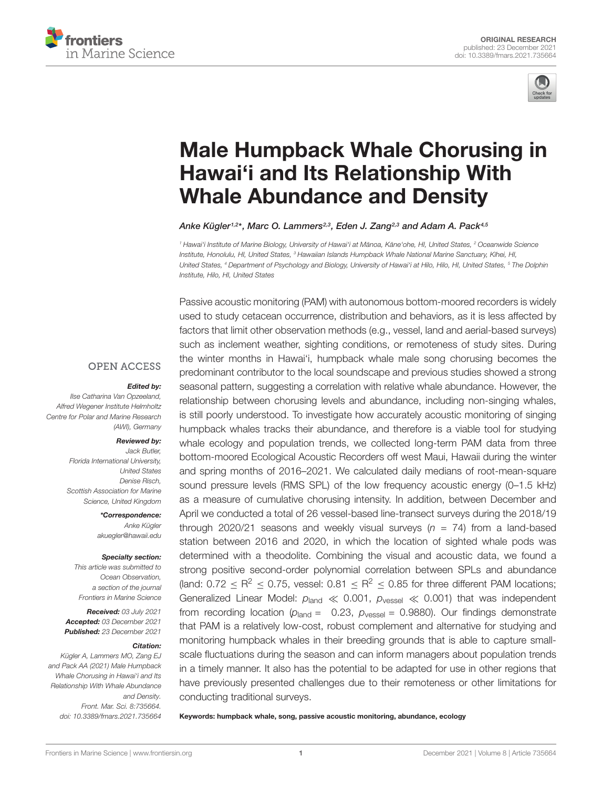



# [Male Humpback Whale Chorusing in](https://www.frontiersin.org/articles/10.3389/fmars.2021.735664/full) Hawai'i and Its Relationship With Whale Abundance and Density

Anke Kügler1,2\*, Marc O. Lammers<sup>2,3</sup>, Eden J. Zang<sup>2,3</sup> and Adam A. Pack<sup>4,5</sup>

1 Hawai'i Institute of Marine Biology, University of Hawai'i at Mānoa, Kāne'ohe, HI, United States, <del>?</del> Oceanwide Science Institute, Honolulu, HI, United States, <sup>3</sup> Hawaiian Islands Humpback Whale National Marine Sanctuary, Kīhei, HI, United States, <sup>4</sup> Department of Psychology and Biology, University of Hawai'i at Hilo, Hilo, HI, United States, <sup>5</sup> The Dolphin Institute, Hilo, HI, United States

#### **OPEN ACCESS**

#### Edited by:

Ilse Catharina Van Opzeeland, Alfred Wegener Institute Helmholtz Centre for Polar and Marine Research (AWI), Germany

#### Reviewed by:

Jack Butler, Florida International University, United States Denise Risch, Scottish Association for Marine Science, United Kingdom

> \*Correspondence: Anke Kügler akuegler@hawaii.edu

#### Specialty section:

This article was submitted to Ocean Observation, a section of the journal Frontiers in Marine Science

Received: 03 July 2021 Accepted: 03 December 2021 Published: 23 December 2021

#### Citation:

Kügler A, Lammers MO, Zang EJ and Pack AA (2021) Male Humpback Whale Chorusing in Hawai'i and Its Relationship With Whale Abundance and Density. Front. Mar. Sci. 8:735664. doi: [10.3389/fmars.2021.735664](https://doi.org/10.3389/fmars.2021.735664)

Passive acoustic monitoring (PAM) with autonomous bottom-moored recorders is widely used to study cetacean occurrence, distribution and behaviors, as it is less affected by factors that limit other observation methods (e.g., vessel, land and aerial-based surveys) such as inclement weather, sighting conditions, or remoteness of study sites. During the winter months in Hawai'i, humpback whale male song chorusing becomes the predominant contributor to the local soundscape and previous studies showed a strong seasonal pattern, suggesting a correlation with relative whale abundance. However, the relationship between chorusing levels and abundance, including non-singing whales, is still poorly understood. To investigate how accurately acoustic monitoring of singing humpback whales tracks their abundance, and therefore is a viable tool for studying whale ecology and population trends, we collected long-term PAM data from three bottom-moored Ecological Acoustic Recorders off west Maui, Hawaii during the winter and spring months of 2016–2021. We calculated daily medians of root-mean-square sound pressure levels (RMS SPL) of the low frequency acoustic energy (0–1.5 kHz) as a measure of cumulative chorusing intensity. In addition, between December and April we conducted a total of 26 vessel-based line-transect surveys during the 2018/19 through 2020/21 seasons and weekly visual surveys ( $n = 74$ ) from a land-based station between 2016 and 2020, in which the location of sighted whale pods was determined with a theodolite. Combining the visual and acoustic data, we found a strong positive second-order polynomial correlation between SPLs and abundance (land:  $0.72 \le R^2 \le 0.75$ , vessel:  $0.81 \le R^2 \le 0.85$  for three different PAM locations; Generalized Linear Model:  $p_{\text{land}} \ll 0.001$ ,  $p_{\text{vessel}} \ll 0.001$ ) that was independent from recording location ( $p_{\text{land}} = 0.23$ ,  $p_{\text{vessel}} = 0.9880$ ). Our findings demonstrate that PAM is a relatively low-cost, robust complement and alternative for studying and monitoring humpback whales in their breeding grounds that is able to capture smallscale fluctuations during the season and can inform managers about population trends in a timely manner. It also has the potential to be adapted for use in other regions that have previously presented challenges due to their remoteness or other limitations for conducting traditional surveys.

Keywords: humpback whale, song, passive acoustic monitoring, abundance, ecology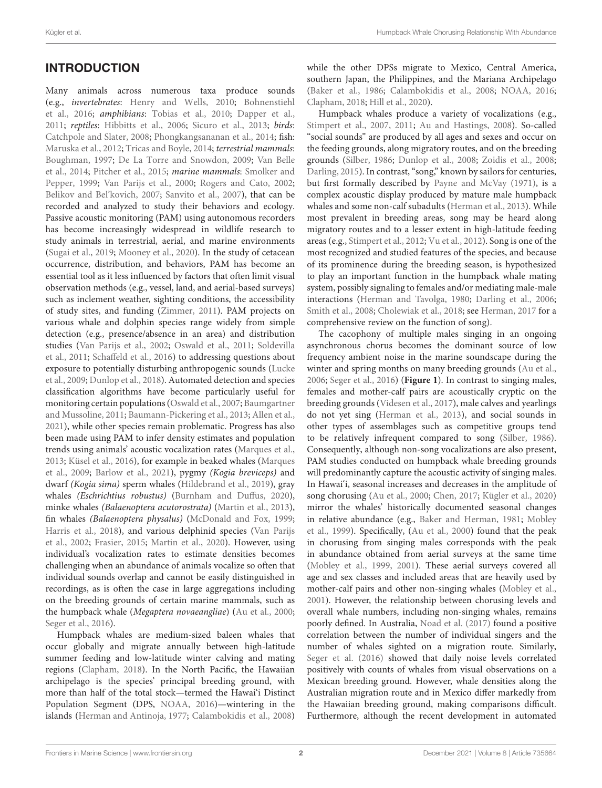## INTRODUCTION

Many animals across numerous taxa produce sounds (e.g., invertebrates: [Henry and Wells, 2010;](#page-13-0) [Bohnenstiehl](#page-12-0) [et al., 2016;](#page-12-0) amphibians: [Tobias et al., 2010;](#page-15-0) [Dapper et al.,](#page-13-1) [2011;](#page-13-1) reptiles: [Hibbitts et al., 2006;](#page-13-2) [Sicuro et al., 2013;](#page-14-0) birds: [Catchpole and Slater, 2008;](#page-13-3) [Phongkangsananan et al., 2014;](#page-14-1) fish: [Maruska et al., 2012;](#page-14-2) [Tricas and Boyle, 2014;](#page-15-1) terrestrial mammals: [Boughman, 1997;](#page-13-4) [De La Torre and Snowdon, 2009;](#page-13-5) [Van Belle](#page-15-2) [et al., 2014;](#page-15-2) [Pitcher et al., 2015;](#page-14-3) marine mammals: [Smolker and](#page-14-4) [Pepper, 1999;](#page-14-4) [Van Parijs et al., 2000;](#page-15-3) [Rogers and Cato, 2002;](#page-14-5) [Belikov and Bel'kovich, 2007;](#page-12-1) [Sanvito et al., 2007\)](#page-14-6), that can be recorded and analyzed to study their behaviors and ecology. Passive acoustic monitoring (PAM) using autonomous recorders has become increasingly widespread in wildlife research to study animals in terrestrial, aerial, and marine environments [\(Sugai et al., 2019;](#page-15-4) [Mooney et al., 2020\)](#page-14-7). In the study of cetacean occurrence, distribution, and behaviors, PAM has become an essential tool as it less influenced by factors that often limit visual observation methods (e.g., vessel, land, and aerial-based surveys) such as inclement weather, sighting conditions, the accessibility of study sites, and funding [\(Zimmer, 2011\)](#page-15-5). PAM projects on various whale and dolphin species range widely from simple detection (e.g., presence/absence in an area) and distribution studies [\(Van Parijs et al., 2002;](#page-15-6) [Oswald et al., 2011;](#page-14-8) [Soldevilla](#page-15-7) [et al., 2011;](#page-15-7) [Schaffeld et al., 2016\)](#page-14-9) to addressing questions about exposure to potentially disturbing anthropogenic sounds [\(Lucke](#page-14-10) [et al., 2009;](#page-14-10) [Dunlop et al., 2018\)](#page-13-6). Automated detection and species classification algorithms have become particularly useful for monitoring certain populations [\(Oswald et al., 2007;](#page-14-11) [Baumgartner](#page-12-2) [and Mussoline, 2011;](#page-12-2) [Baumann-Pickering et al., 2013;](#page-12-3) [Allen et al.,](#page-12-4) [2021\)](#page-12-4), while other species remain problematic. Progress has also been made using PAM to infer density estimates and population trends using animals' acoustic vocalization rates [\(Marques et al.,](#page-14-12) [2013;](#page-14-12) [Küsel et al., 2016\)](#page-14-13), for example in beaked whales [\(Marques](#page-14-14) [et al., 2009;](#page-14-14) [Barlow et al., 2021\)](#page-12-5), pygmy (Kogia breviceps) and dwarf (Kogia sima) sperm whales [\(Hildebrand et al., 2019\)](#page-13-7), gray whales (Eschrichtius robustus) [\(Burnham and Duffus, 2020\)](#page-13-8), minke whales (Balaenoptera acutorostrata) [\(Martin et al., 2013\)](#page-14-15), fin whales (Balaenoptera physalus) [\(McDonald and Fox, 1999;](#page-14-16) [Harris et al., 2018\)](#page-13-9), and various delphinid species [\(Van Parijs](#page-15-6) [et al., 2002;](#page-15-6) [Frasier, 2015;](#page-13-10) [Martin et al., 2020\)](#page-14-17). However, using individual's vocalization rates to estimate densities becomes challenging when an abundance of animals vocalize so often that individual sounds overlap and cannot be easily distinguished in recordings, as is often the case in large aggregations including on the breeding grounds of certain marine mammals, such as the humpback whale (Megaptera novaeangliae) [\(Au et al., 2000;](#page-12-6) [Seger et al., 2016\)](#page-14-18).

Humpback whales are medium-sized baleen whales that occur globally and migrate annually between high-latitude summer feeding and low-latitude winter calving and mating regions [\(Clapham, 2018\)](#page-13-11). In the North Pacific, the Hawaiian archipelago is the species' principal breeding ground, with more than half of the total stock—termed the Hawai'i Distinct Population Segment (DPS, [NOAA, 2016\)](#page-14-19)—wintering in the islands [\(Herman and Antinoja, 1977;](#page-13-12) [Calambokidis et al., 2008\)](#page-13-13)

while the other DPSs migrate to Mexico, Central America, southern Japan, the Philippines, and the Mariana Archipelago [\(Baker et al., 1986;](#page-12-7) [Calambokidis et al., 2008;](#page-13-13) [NOAA, 2016;](#page-14-19) [Clapham, 2018;](#page-13-11) [Hill et al., 2020\)](#page-13-14).

Humpback whales produce a variety of vocalizations (e.g., [Stimpert et al., 2007,](#page-15-8) [2011;](#page-15-9) [Au and Hastings, 2008\)](#page-12-8). So-called "social sounds" are produced by all ages and sexes and occur on the feeding grounds, along migratory routes, and on the breeding grounds [\(Silber, 1986;](#page-14-20) [Dunlop et al., 2008;](#page-13-15) [Zoidis et al., 2008;](#page-15-10) [Darling, 2015\)](#page-13-16). In contrast, "song," known by sailors for centuries, but first formally described by [Payne and McVay](#page-14-21) [\(1971\)](#page-14-21), is a complex acoustic display produced by mature male humpback whales and some non-calf subadults [\(Herman et al., 2013\)](#page-13-17). While most prevalent in breeding areas, song may be heard along migratory routes and to a lesser extent in high-latitude feeding areas (e.g., [Stimpert et al., 2012;](#page-15-11) [Vu et al., 2012\)](#page-15-12). Song is one of the most recognized and studied features of the species, and because of its prominence during the breeding season, is hypothesized to play an important function in the humpback whale mating system, possibly signaling to females and/or mediating male-male interactions [\(Herman and Tavolga, 1980;](#page-13-18) [Darling et al., 2006;](#page-13-19) [Smith et al., 2008;](#page-14-22) [Cholewiak et al., 2018;](#page-13-20) see [Herman, 2017](#page-13-21) for a comprehensive review on the function of song).

The cacophony of multiple males singing in an ongoing asynchronous chorus becomes the dominant source of low frequency ambient noise in the marine soundscape during the winter and spring months on many breeding grounds [\(Au et al.,](#page-12-9) [2006;](#page-12-9) [Seger et al., 2016\)](#page-14-18) (**[Figure 1](#page-3-0)**). In contrast to singing males, females and mother-calf pairs are acoustically cryptic on the breeding grounds [\(Videsen et al., 2017\)](#page-15-13), male calves and yearlings do not yet sing [\(Herman et al., 2013\)](#page-13-17), and social sounds in other types of assemblages such as competitive groups tend to be relatively infrequent compared to song [\(Silber, 1986\)](#page-14-20). Consequently, although non-song vocalizations are also present, PAM studies conducted on humpback whale breeding grounds will predominantly capture the acoustic activity of singing males. In Hawai'i, seasonal increases and decreases in the amplitude of song chorusing [\(Au et al., 2000;](#page-12-6) [Chen, 2017;](#page-13-22) [Kügler et al., 2020\)](#page-14-23) mirror the whales' historically documented seasonal changes in relative abundance (e.g., [Baker and Herman, 1981;](#page-12-10) [Mobley](#page-14-24) [et al., 1999\)](#page-14-24). Specifically, [\(Au et al., 2000\)](#page-12-6) found that the peak in chorusing from singing males corresponds with the peak in abundance obtained from aerial surveys at the same time [\(Mobley et al., 1999,](#page-14-24) [2001\)](#page-14-25). These aerial surveys covered all age and sex classes and included areas that are heavily used by mother-calf pairs and other non-singing whales [\(Mobley et al.,](#page-14-25) [2001\)](#page-14-25). However, the relationship between chorusing levels and overall whale numbers, including non-singing whales, remains poorly defined. In Australia, [Noad et al.](#page-14-26) [\(2017\)](#page-14-26) found a positive correlation between the number of individual singers and the number of whales sighted on a migration route. Similarly, [Seger et al.](#page-14-18) [\(2016\)](#page-14-18) showed that daily noise levels correlated positively with counts of whales from visual observations on a Mexican breeding ground. However, whale densities along the Australian migration route and in Mexico differ markedly from the Hawaiian breeding ground, making comparisons difficult. Furthermore, although the recent development in automated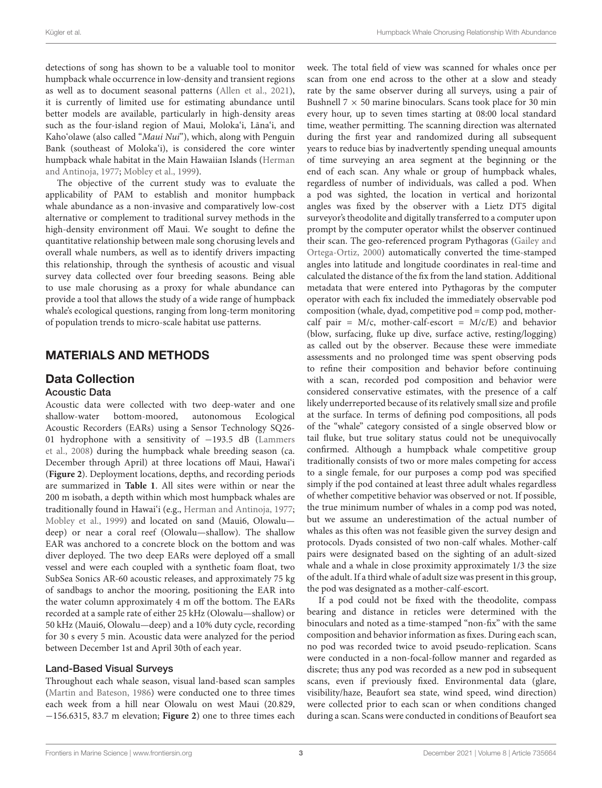detections of song has shown to be a valuable tool to monitor humpback whale occurrence in low-density and transient regions as well as to document seasonal patterns [\(Allen et al., 2021\)](#page-12-4), it is currently of limited use for estimating abundance until better models are available, particularly in high-density areas such as the four-island region of Maui, Moloka'i, Lāna'i, and Kaho'olawe (also called "Maui Nui"), which, along with Penguin Bank (southeast of Moloka'i), is considered the core winter humpback whale habitat in the Main Hawaiian Islands [\(Herman](#page-13-12) [and Antinoja, 1977;](#page-13-12) [Mobley et al., 1999\)](#page-14-24).

The objective of the current study was to evaluate the applicability of PAM to establish and monitor humpback whale abundance as a non-invasive and comparatively low-cost alternative or complement to traditional survey methods in the high-density environment off Maui. We sought to define the quantitative relationship between male song chorusing levels and overall whale numbers, as well as to identify drivers impacting this relationship, through the synthesis of acoustic and visual survey data collected over four breeding seasons. Being able to use male chorusing as a proxy for whale abundance can provide a tool that allows the study of a wide range of humpback whale's ecological questions, ranging from long-term monitoring of population trends to micro-scale habitat use patterns.

## MATERIALS AND METHODS

## Data Collection

#### Acoustic Data

Acoustic data were collected with two deep-water and one shallow-water bottom-moored, autonomous Ecological Acoustic Recorders (EARs) using a Sensor Technology SQ26- 01 hydrophone with a sensitivity of −193.5 dB [\(Lammers](#page-14-27) [et al., 2008\)](#page-14-27) during the humpback whale breeding season (ca. December through April) at three locations off Maui, Hawai'i (**[Figure 2](#page-5-0)**). Deployment locations, depths, and recording periods are summarized in **[Table 1](#page-3-1)**. All sites were within or near the 200 m isobath, a depth within which most humpback whales are traditionally found in Hawai'i (e.g., [Herman and Antinoja, 1977;](#page-13-12) [Mobley et al., 1999\)](#page-14-24) and located on sand (Maui6, Olowalu deep) or near a coral reef (Olowalu—shallow). The shallow EAR was anchored to a concrete block on the bottom and was diver deployed. The two deep EARs were deployed off a small vessel and were each coupled with a synthetic foam float, two SubSea Sonics AR-60 acoustic releases, and approximately 75 kg of sandbags to anchor the mooring, positioning the EAR into the water column approximately 4 m off the bottom. The EARs recorded at a sample rate of either 25 kHz (Olowalu—shallow) or 50 kHz (Maui6, Olowalu—deep) and a 10% duty cycle, recording for 30 s every 5 min. Acoustic data were analyzed for the period between December 1st and April 30th of each year.

#### Land-Based Visual Surveys

Throughout each whale season, visual land-based scan samples [\(Martin and Bateson, 1986\)](#page-14-28) were conducted one to three times each week from a hill near Olowalu on west Maui (20.829, −156.6315, 83.7 m elevation; **[Figure 2](#page-5-0)**) one to three times each

week. The total field of view was scanned for whales once per scan from one end across to the other at a slow and steady rate by the same observer during all surveys, using a pair of Bushnell  $7 \times 50$  marine binoculars. Scans took place for 30 min every hour, up to seven times starting at 08:00 local standard time, weather permitting. The scanning direction was alternated during the first year and randomized during all subsequent years to reduce bias by inadvertently spending unequal amounts of time surveying an area segment at the beginning or the end of each scan. Any whale or group of humpback whales, regardless of number of individuals, was called a pod. When a pod was sighted, the location in vertical and horizontal angles was fixed by the observer with a Lietz DT5 digital surveyor's theodolite and digitally transferred to a computer upon prompt by the computer operator whilst the observer continued their scan. The geo-referenced program Pythagoras [\(Gailey and](#page-13-23) [Ortega-Ortiz, 2000\)](#page-13-23) automatically converted the time-stamped angles into latitude and longitude coordinates in real-time and calculated the distance of the fix from the land station. Additional metadata that were entered into Pythagoras by the computer operator with each fix included the immediately observable pod composition (whale, dyad, competitive pod = comp pod, mothercalf pair =  $M/c$ , mother-calf-escort =  $M/c/E$ ) and behavior (blow, surfacing, fluke up dive, surface active, resting/logging) as called out by the observer. Because these were immediate assessments and no prolonged time was spent observing pods to refine their composition and behavior before continuing with a scan, recorded pod composition and behavior were considered conservative estimates, with the presence of a calf likely underreported because of its relatively small size and profile at the surface. In terms of defining pod compositions, all pods of the "whale" category consisted of a single observed blow or tail fluke, but true solitary status could not be unequivocally confirmed. Although a humpback whale competitive group traditionally consists of two or more males competing for access to a single female, for our purposes a comp pod was specified simply if the pod contained at least three adult whales regardless of whether competitive behavior was observed or not. If possible, the true minimum number of whales in a comp pod was noted, but we assume an underestimation of the actual number of whales as this often was not feasible given the survey design and protocols. Dyads consisted of two non-calf whales. Mother-calf pairs were designated based on the sighting of an adult-sized whale and a whale in close proximity approximately 1/3 the size of the adult. If a third whale of adult size was present in this group, the pod was designated as a mother-calf-escort.

If a pod could not be fixed with the theodolite, compass bearing and distance in reticles were determined with the binoculars and noted as a time-stamped "non-fix" with the same composition and behavior information as fixes. During each scan, no pod was recorded twice to avoid pseudo-replication. Scans were conducted in a non-focal-follow manner and regarded as discrete; thus any pod was recorded as a new pod in subsequent scans, even if previously fixed. Environmental data (glare, visibility/haze, Beaufort sea state, wind speed, wind direction) were collected prior to each scan or when conditions changed during a scan. Scans were conducted in conditions of Beaufort sea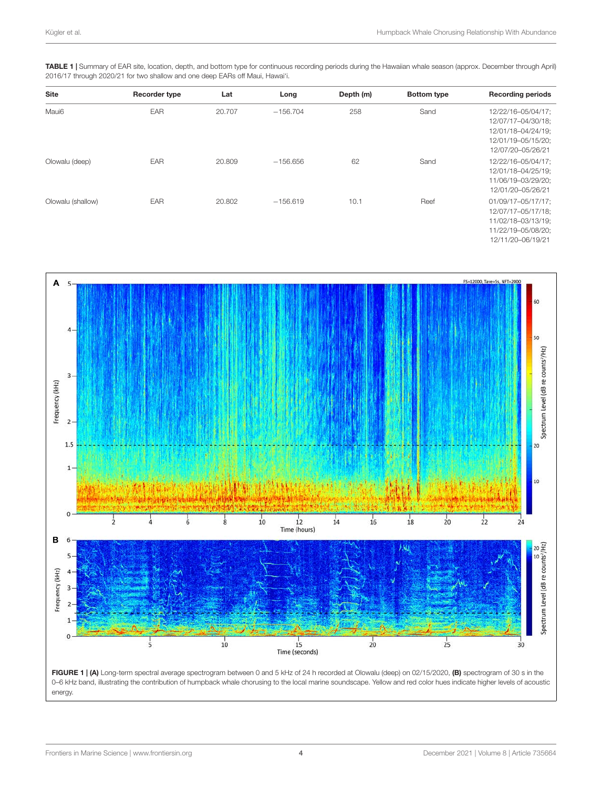<span id="page-3-1"></span>

| TABLE 1   Summary of EAR site, location, depth, and bottom type for continuous recording periods during the Hawaiian whale season (approx. December through April) |  |
|--------------------------------------------------------------------------------------------------------------------------------------------------------------------|--|
| 2016/17 through 2020/21 for two shallow and one deep EARs off Maui, Hawai'i.                                                                                       |  |

| <b>Site</b>       | Recorder type | Lat    | Long       | Depth (m) | <b>Bottom type</b> | <b>Recording periods</b>                                                                                  |
|-------------------|---------------|--------|------------|-----------|--------------------|-----------------------------------------------------------------------------------------------------------|
| Maui6             | EAR           | 20.707 | $-156.704$ | 258       | Sand               | 12/22/16-05/04/17;<br>12/07/17-04/30/18;<br>12/01/18-04/24/19;<br>12/01/19-05/15/20;<br>12/07/20-05/26/21 |
| Olowalu (deep)    | <b>EAR</b>    | 20,809 | $-156.656$ | 62        | Sand               | 12/22/16-05/04/17;<br>12/01/18-04/25/19;<br>11/06/19-03/29/20;<br>12/01/20-05/26/21                       |
| Olowalu (shallow) | <b>EAR</b>    | 20,802 | $-156.619$ | 10.1      | Reef               | 01/09/17-05/17/17;<br>12/07/17-05/17/18;<br>11/02/18-03/13/19;<br>11/22/19-05/08/20;<br>12/11/20-06/19/21 |



<span id="page-3-0"></span>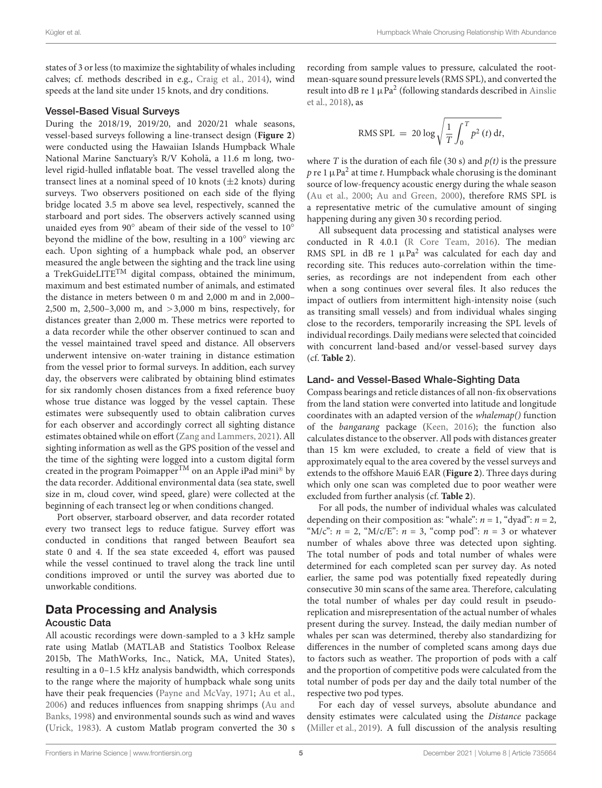states of 3 or less (to maximize the sightability of whales including calves; cf. methods described in e.g., [Craig et al., 2014\)](#page-13-24), wind speeds at the land site under 15 knots, and dry conditions.

#### Vessel-Based Visual Surveys

During the 2018/19, 2019/20, and 2020/21 whale seasons, vessel-based surveys following a line-transect design (**[Figure 2](#page-5-0)**) were conducted using the Hawaiian Islands Humpback Whale National Marine Sanctuary's R/V Koholā, a 11.6 m long, twolevel rigid-hulled inflatable boat. The vessel travelled along the transect lines at a nominal speed of 10 knots  $(\pm 2 \text{ knots})$  during surveys. Two observers positioned on each side of the flying bridge located 3.5 m above sea level, respectively, scanned the starboard and port sides. The observers actively scanned using unaided eyes from 90° abeam of their side of the vessel to 10° beyond the midline of the bow, resulting in a 100◦ viewing arc each. Upon sighting of a humpback whale pod, an observer measured the angle between the sighting and the track line using a TrekGuideLITE<sup>TM</sup> digital compass, obtained the minimum, maximum and best estimated number of animals, and estimated the distance in meters between 0 m and 2,000 m and in 2,000– 2,500 m, 2,500–3,000 m, and >3,000 m bins, respectively, for distances greater than 2,000 m. These metrics were reported to a data recorder while the other observer continued to scan and the vessel maintained travel speed and distance. All observers underwent intensive on-water training in distance estimation from the vessel prior to formal surveys. In addition, each survey day, the observers were calibrated by obtaining blind estimates for six randomly chosen distances from a fixed reference buoy whose true distance was logged by the vessel captain. These estimates were subsequently used to obtain calibration curves for each observer and accordingly correct all sighting distance estimates obtained while on effort [\(Zang and Lammers, 2021\)](#page-15-14). All sighting information as well as the GPS position of the vessel and the time of the sighting were logged into a custom digital form created in the program Poimapper<sup>TM</sup> on an Apple iPad mini<sup>®</sup> by the data recorder. Additional environmental data (sea state, swell size in m, cloud cover, wind speed, glare) were collected at the beginning of each transect leg or when conditions changed.

Port observer, starboard observer, and data recorder rotated every two transect legs to reduce fatigue. Survey effort was conducted in conditions that ranged between Beaufort sea state 0 and 4. If the sea state exceeded 4, effort was paused while the vessel continued to travel along the track line until conditions improved or until the survey was aborted due to unworkable conditions.

## Data Processing and Analysis

#### Acoustic Data

All acoustic recordings were down-sampled to a 3 kHz sample rate using Matlab (MATLAB and Statistics Toolbox Release 2015b, The MathWorks, Inc., Natick, MA, United States), resulting in a 0–1.5 kHz analysis bandwidth, which corresponds to the range where the majority of humpback whale song units have their peak frequencies [\(Payne and McVay, 1971;](#page-14-21) [Au et al.,](#page-12-9) [2006\)](#page-12-9) and reduces influences from snapping shrimps [\(Au and](#page-12-11) [Banks, 1998\)](#page-12-11) and environmental sounds such as wind and waves [\(Urick, 1983\)](#page-15-15). A custom Matlab program converted the 30 s recording from sample values to pressure, calculated the rootmean-square sound pressure levels (RMS SPL), and converted the result into dB re 1  $\mu$ Pa<sup>2</sup> (following standards described in [Ainslie](#page-12-12) [et al., 2018\)](#page-12-12), as

RMS SPL = 
$$
20 \log \sqrt{\frac{1}{T} \int_0^T p^2(t) dt}
$$
,

where T is the duration of each file (30 s) and  $p(t)$  is the pressure  $p$  re 1  $\mu$ Pa $^2$  at time  $t$ . Humpback whale chorusing is the dominant source of low-frequency acoustic energy during the whale season [\(Au et al., 2000;](#page-12-6) [Au and Green, 2000\)](#page-12-13), therefore RMS SPL is a representative metric of the cumulative amount of singing happening during any given 30 s recording period.

All subsequent data processing and statistical analyses were conducted in R 4.0.1 [\(R Core Team, 2016\)](#page-14-29). The median RMS SPL in dB re 1  $\mu$ Pa<sup>2</sup> was calculated for each day and recording site. This reduces auto-correlation within the timeseries, as recordings are not independent from each other when a song continues over several files. It also reduces the impact of outliers from intermittent high-intensity noise (such as transiting small vessels) and from individual whales singing close to the recorders, temporarily increasing the SPL levels of individual recordings. Daily medians were selected that coincided with concurrent land-based and/or vessel-based survey days (cf. **[Table 2](#page-5-1)**).

#### Land- and Vessel-Based Whale-Sighting Data

Compass bearings and reticle distances of all non-fix observations from the land station were converted into latitude and longitude coordinates with an adapted version of the whalemap() function of the bangarang package [\(Keen, 2016\)](#page-13-25); the function also calculates distance to the observer. All pods with distances greater than 15 km were excluded, to create a field of view that is approximately equal to the area covered by the vessel surveys and extends to the offshore Maui6 EAR (**[Figure 2](#page-5-0)**). Three days during which only one scan was completed due to poor weather were excluded from further analysis (cf. **[Table 2](#page-5-1)**).

For all pods, the number of individual whales was calculated depending on their composition as: "whale":  $n = 1$ , "dyad":  $n = 2$ , "M/c":  $n = 2$ , "M/c/E":  $n = 3$ , "comp pod":  $n = 3$  or whatever number of whales above three was detected upon sighting. The total number of pods and total number of whales were determined for each completed scan per survey day. As noted earlier, the same pod was potentially fixed repeatedly during consecutive 30 min scans of the same area. Therefore, calculating the total number of whales per day could result in pseudoreplication and misrepresentation of the actual number of whales present during the survey. Instead, the daily median number of whales per scan was determined, thereby also standardizing for differences in the number of completed scans among days due to factors such as weather. The proportion of pods with a calf and the proportion of competitive pods were calculated from the total number of pods per day and the daily total number of the respective two pod types.

For each day of vessel surveys, absolute abundance and density estimates were calculated using the Distance package [\(Miller et al., 2019\)](#page-14-30). A full discussion of the analysis resulting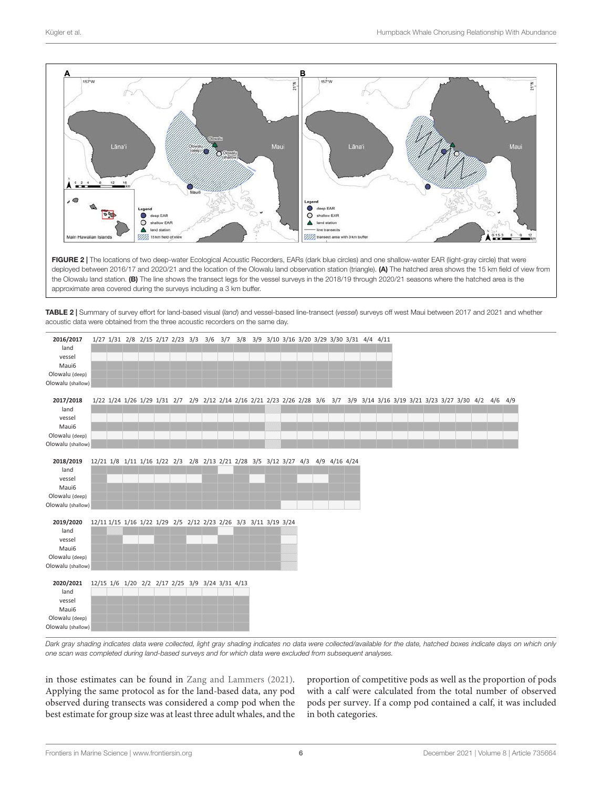

<span id="page-5-0"></span>FIGURE 2 | The locations of two deep-water Ecological Acoustic Recorders, EARs (dark blue circles) and one shallow-water EAR (light-gray circle) that were deployed between 2016/17 and 2020/21 and the location of the Olowalu land observation station (triangle). (A) The hatched area shows the 15 km field of view from the Olowalu land station. (B) The line shows the transect legs for the vessel surveys in the 2018/19 through 2020/21 seasons where the hatched area is the approximate area covered during the surveys including a 3 km buffer.

<span id="page-5-1"></span>TABLE 2 | Summary of survey effort for land-based visual (land) and vessel-based line-transect (vessel) surveys off west Maui between 2017 and 2021 and whether acoustic data were obtained from the three acoustic recorders on the same day.

| 2016/2017<br>land<br>vessel<br>Maui6<br>Olowalu (deep)<br>Olowalu (shallow) | 1/27 1/31 2/8 2/15 2/17 2/23 3/3 3/6 3/7 3/8 3/9 3/10 3/16 3/20 3/29 3/30 3/31 4/4 4/11                                        |  |  |  |  |  |  |  |  |  |  |  |  |  |
|-----------------------------------------------------------------------------|--------------------------------------------------------------------------------------------------------------------------------|--|--|--|--|--|--|--|--|--|--|--|--|--|
| 2017/2018<br>land<br>vessel<br>Maui6                                        | 1/22 1/24 1/26 1/29 1/31 2/7 2/9 2/12 2/14 2/16 2/21 2/23 2/26 2/28 3/6 3/7 3/9 3/14 3/16 3/19 3/21 3/23 3/27 3/30 4/2 4/6 4/9 |  |  |  |  |  |  |  |  |  |  |  |  |  |
| Olowalu (deep)<br>Olowalu (shallow)                                         |                                                                                                                                |  |  |  |  |  |  |  |  |  |  |  |  |  |
| 2018/2019<br>land<br>vessel<br>Maui6<br>Olowalu (deep)<br>Olowalu (shallow) | 12/21 1/8 1/11 1/16 1/22 2/3 2/8 2/13 2/21 2/28 3/5 3/12 3/27 4/3 4/9 4/16 4/24                                                |  |  |  |  |  |  |  |  |  |  |  |  |  |
| 2019/2020<br>land<br>vessel<br>Maui6<br>Olowalu (deep)<br>Olowalu (shallow) | 12/11 1/15 1/16 1/22 1/29 2/5 2/12 2/23 2/26 3/3 3/11 3/19 3/24                                                                |  |  |  |  |  |  |  |  |  |  |  |  |  |
| 2020/2021<br>land<br>vessel<br>Maui6<br>Olowalu (deep)<br>Olowalu (shallow) | 12/15 1/6 1/20 2/2 2/17 2/25 3/9 3/24 3/31 4/13                                                                                |  |  |  |  |  |  |  |  |  |  |  |  |  |

Dark gray shading indicates data were collected, light gray shading indicates no data were collected/available for the date, hatched boxes indicate days on which only one scan was completed during land-based surveys and for which data were excluded from subsequent analyses.

in those estimates can be found in [Zang and Lammers](#page-15-14) [\(2021\)](#page-15-14). Applying the same protocol as for the land-based data, any pod observed during transects was considered a comp pod when the best estimate for group size was at least three adult whales, and the

proportion of competitive pods as well as the proportion of pods with a calf were calculated from the total number of observed pods per survey. If a comp pod contained a calf, it was included in both categories.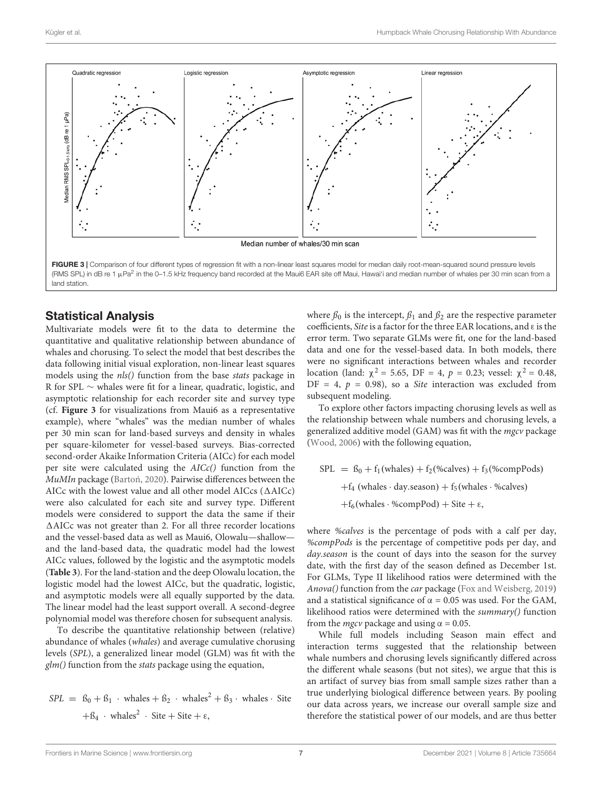

### <span id="page-6-0"></span>Statistical Analysis

Multivariate models were fit to the data to determine the quantitative and qualitative relationship between abundance of whales and chorusing. To select the model that best describes the data following initial visual exploration, non-linear least squares models using the *nls*() function from the base *stats* package in R for SPL ∼ whales were fit for a linear, quadratic, logistic, and asymptotic relationship for each recorder site and survey type (cf. **[Figure 3](#page-6-0)** for visualizations from Maui6 as a representative example), where "whales" was the median number of whales per 30 min scan for land-based surveys and density in whales per square-kilometer for vessel-based surveys. Bias-corrected second-order Akaike Information Criteria (AICc) for each model per site were calculated using the AICc() function from the MuMIn package (Bartoń, 2020). Pairwise differences between the AICc with the lowest value and all other model AICcs  $(\Delta AICc)$ were also calculated for each site and survey type. Different models were considered to support the data the same if their  $\triangle$ AICc was not greater than 2. For all three recorder locations and the vessel-based data as well as Maui6, Olowalu—shallow and the land-based data, the quadratic model had the lowest AICc values, followed by the logistic and the asymptotic models (**[Table 3](#page-7-0)**). For the land-station and the deep Olowalu location, the logistic model had the lowest AICc, but the quadratic, logistic, and asymptotic models were all equally supported by the data. The linear model had the least support overall. A second-degree polynomial model was therefore chosen for subsequent analysis.

To describe the quantitative relationship between (relative) abundance of whales (whales) and average cumulative chorusing levels (SPL), a generalized linear model (GLM) was fit with the  $glm()$  function from the *stats* package using the equation,

$$
SPL = \beta_0 + \beta_1 \cdot \text{whales} + \beta_2 \cdot \text{whales}^2 + \beta_3 \cdot \text{whales} \cdot \text{Site}
$$

$$
+ \beta_4 \cdot \text{whales}^2 \cdot \text{Site} + \text{Site} + \epsilon,
$$

where  $\beta_0$  is the intercept,  $\beta_1$  and  $\beta_2$  are the respective parameter coefficients, *Site* is a factor for the three EAR locations, and ε is the error term. Two separate GLMs were fit, one for the land-based data and one for the vessel-based data. In both models, there were no significant interactions between whales and recorder location (land:  $\chi^2$  = 5.65, DF = 4, *p* = 0.23; vessel:  $\chi^2$  = 0.48,  $DF = 4$ ,  $p = 0.98$ ), so a *Site* interaction was excluded from subsequent modeling.

To explore other factors impacting chorusing levels as well as the relationship between whale numbers and chorusing levels, a generalized additive model (GAM) was fit with the mgcv package [\(Wood, 2006\)](#page-15-16) with the following equation,

$$
SPL = f_0 + f_1(whales) + f_2(\%cales) + f_3(\%compPods)
$$
  
+
$$
f_4 \text{ (whales } \cdot \text{day} \cdot \text{season}) + f_5 \text{ (whales } \cdot \text{%calves)}
$$
  
+
$$
f_6 \text{ (whales } \cdot \text{%compPod}) + \text{Site } + \epsilon,
$$

where %calves is the percentage of pods with a calf per day, %compPods is the percentage of competitive pods per day, and day.season is the count of days into the season for the survey date, with the first day of the season defined as December 1st. For GLMs, Type II likelihood ratios were determined with the Anova() function from the car package [\(Fox and Weisberg, 2019\)](#page-13-26) and a statistical significance of  $\alpha = 0.05$  was used. For the GAM, likelihood ratios were determined with the summary() function from the *mgcv* package and using  $\alpha = 0.05$ .

While full models including Season main effect and interaction terms suggested that the relationship between whale numbers and chorusing levels significantly differed across the different whale seasons (but not sites), we argue that this is an artifact of survey bias from small sample sizes rather than a true underlying biological difference between years. By pooling our data across years, we increase our overall sample size and therefore the statistical power of our models, and are thus better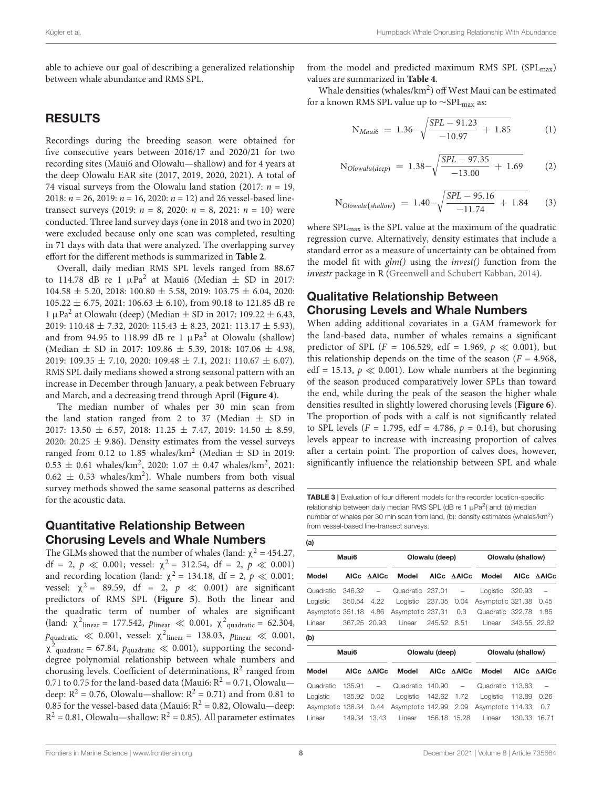able to achieve our goal of describing a generalized relationship between whale abundance and RMS SPL.

## RESULTS

Recordings during the breeding season were obtained for five consecutive years between 2016/17 and 2020/21 for two recording sites (Maui6 and Olowalu—shallow) and for 4 years at the deep Olowalu EAR site (2017, 2019, 2020, 2021). A total of 74 visual surveys from the Olowalu land station (2017:  $n = 19$ , 2018:  $n = 26$ , 2019:  $n = 16$ , 2020:  $n = 12$ ) and 26 vessel-based linetransect surveys (2019:  $n = 8$ , 2020:  $n = 8$ , 2021:  $n = 10$ ) were conducted. Three land survey days (one in 2018 and two in 2020) were excluded because only one scan was completed, resulting in 71 days with data that were analyzed. The overlapping survey effort for the different methods is summarized in **[Table 2](#page-5-1)**.

Overall, daily median RMS SPL levels ranged from 88.67 to 114.78 dB re 1  $\mu$ Pa<sup>2</sup> at Maui6 (Median  $\pm$  SD in 2017:  $104.58 \pm 5.20$ , 2018:  $100.80 \pm 5.58$ , 2019:  $103.75 \pm 6.04$ , 2020: 105.22 ± 6.75, 2021: 106.63 ± 6.10), from 90.18 to 121.85 dB re 1 µPa<sup>2</sup> at Olowalu (deep) (Median  $\pm$  SD in 2017: 109.22  $\pm$  6.43, 2019: 110.48  $\pm$  7.32, 2020: 115.43  $\pm$  8.23, 2021: 113.17  $\pm$  5.93), and from 94.95 to 118.99 dB re 1  $\mu$ Pa<sup>2</sup> at Olowalu (shallow) (Median  $\pm$  SD in 2017: 109.86  $\pm$  5.39, 2018: 107.06  $\pm$  4.98, 2019: 109.35  $\pm$  7.10, 2020: 109.48  $\pm$  7.1, 2021: 110.67  $\pm$  6.07). RMS SPL daily medians showed a strong seasonal pattern with an increase in December through January, a peak between February and March, and a decreasing trend through April (**[Figure 4](#page-8-0)**).

The median number of whales per 30 min scan from the land station ranged from 2 to 37 (Median  $\pm$  SD in 2017: 13.50  $\pm$  6.57, 2018: 11.25  $\pm$  7.47, 2019: 14.50  $\pm$  8.59, 2020: 20.25  $\pm$  9.86). Density estimates from the vessel surveys ranged from 0.12 to 1.85 whales/km<sup>2</sup> (Median  $\pm$  SD in 2019:  $0.53 \pm 0.61$  whales/km<sup>2</sup>, 2020:  $1.07 \pm 0.47$  whales/km<sup>2</sup>, 2021:  $0.62 \pm 0.53$  whales/km<sup>2</sup>). Whale numbers from both visual survey methods showed the same seasonal patterns as described for the acoustic data.

## Quantitative Relationship Between Chorusing Levels and Whale Numbers

The GLMs showed that the number of whales (land:  $\chi^2$  = 454.27, df = 2,  $p \ll 0.001$ ; vessel:  $\chi^2 = 312.54$ , df = 2,  $p \ll 0.001$ ) and recording location (land:  $\chi^2$  = 134.18, df = 2,  $p \ll 0.001$ ; vessel:  $\chi^2$  = 89.59, df = 2,  $p \ll 0.001$ ) are significant predictors of RMS SPL (**[Figure 5](#page-9-0)**). Both the linear and the quadratic term of number of whales are significant (land:  $\chi^2$ <sub>linear</sub> = 177.542,  $p_{\text{linear}} \ll 0.001$ ,  $\chi^2$ <sub>quadratic</sub> = 62.304,  $p_{\text{quadratic}} \ll 0.001$ , vessel:  $\chi^2$ <sub>linear</sub> = 138.03,  $p_{\text{linear}} \ll 0.001$ ,  $\chi^2$ <sub>quadratic</sub> = 67.84,  $p_{\text{quadratic}} \ll 0.001$ ), supporting the seconddegree polynomial relationship between whale numbers and chorusing levels. Coefficient of determinations,  $R^2$  ranged from 0.71 to 0.75 for the land-based data (Maui6:  $R^2 = 0.71$ , Olowalu deep:  $R^2 = 0.76$ , Olowalu—shallow:  $R^2 = 0.71$ ) and from 0.81 to 0.85 for the vessel-based data (Maui6:  $R^2 = 0.82$ , Olowalu—deep:  $R^2 = 0.81$ , Olowalu—shallow:  $R^2 = 0.85$ ). All parameter estimates

from the model and predicted maximum RMS SPL (SPL $_{\text{max}}$ ) values are summarized in **[Table 4](#page-10-0)**.

Whale densities (whales/km<sup>2</sup>) off West Maui can be estimated for a known RMS SPL value up to  $\sim$ SPL<sub>max</sub> as:

$$
N_{Maui6} = 1.36 - \sqrt{\frac{SPL - 91.23}{-10.97} + 1.85}
$$
 (1)

$$
N_{Olowalu(deep)} = 1.38 - \sqrt{\frac{SPL - 97.35}{-13.00} + 1.69}
$$
 (2)

$$
N_{Olowalu(shallow)} = 1.40 - \sqrt{\frac{SPL - 95.16}{-11.74} + 1.84}
$$
 (3)

where  $SPL_{max}$  is the SPL value at the maximum of the quadratic regression curve. Alternatively, density estimates that include a standard error as a measure of uncertainty can be obtained from the model fit with  $\ell m$ ) using the *invest*() function from the investr package in R [\(Greenwell and Schubert Kabban, 2014\)](#page-13-27).

## Qualitative Relationship Between Chorusing Levels and Whale Numbers

When adding additional covariates in a GAM framework for the land-based data, number of whales remains a significant predictor of SPL ( $F = 106.529$ , edf = 1.969,  $p \ll 0.001$ ), but this relationship depends on the time of the season ( $F = 4.968$ , edf = 15.13,  $p \ll 0.001$ ). Low whale numbers at the beginning of the season produced comparatively lower SPLs than toward the end, while during the peak of the season the higher whale densities resulted in slightly lowered chorusing levels (**[Figure 6](#page-11-0)**). The proportion of pods with a calf is not significantly related to SPL levels ( $F = 1.795$ , edf = 4.786,  $p = 0.14$ ), but chorusing levels appear to increase with increasing proportion of calves after a certain point. The proportion of calves does, however, significantly influence the relationship between SPL and whale

<span id="page-7-0"></span>TABLE 3 | Evaluation of four different models for the recorder location-specific relationship between daily median RMS SPL (dB re 1  $\mu$ Pa<sup>2</sup>) and: (a) median number of whales per 30 min scan from land, (b): density estimates (whales/km<sup>2</sup>) from vessel-based line-transect surveys.

| (a)               |                   |              |                   |                |                          |                   |                   |                          |  |  |  |  |
|-------------------|-------------------|--------------|-------------------|----------------|--------------------------|-------------------|-------------------|--------------------------|--|--|--|--|
|                   | Maui <sub>6</sub> |              |                   | Olowalu (deep) |                          | Olowalu (shallow) |                   |                          |  |  |  |  |
| Model             | <b>AICc</b>       | <b>AAICc</b> | Model             | <b>AICc</b>    | <b>AAICc</b>             | Model             | <b>AICc</b>       | <b>AAICc</b>             |  |  |  |  |
| Quadratic         | 346.32            | -            | Quadratic         | 237.01         | $\qquad \qquad -$        | Logistic          | 320.93            | $\overline{\phantom{0}}$ |  |  |  |  |
| Logistic          | 350.54            | 4.22         | Logistic          | 237.05         | 0.04                     | Asymptotic 321.38 |                   | 0.45                     |  |  |  |  |
| Asymptotic 351.18 |                   | 4.86         | Asymptotic 237.31 |                | 0.3                      | Quadratic 322.78  |                   | 1.85                     |  |  |  |  |
| Linear            | 367.25            | 20.93        | Linear            | 245.52         | 8.51                     | Linear            | 343.55            | 22.62                    |  |  |  |  |
| (b)               |                   |              |                   |                |                          |                   |                   |                          |  |  |  |  |
|                   | Maui6             |              |                   | Olowalu (deep) |                          |                   | Olowalu (shallow) |                          |  |  |  |  |
| Model             | <b>AICc</b>       | <b>AAICc</b> | Model             | <b>AICc</b>    | <b>AAICc</b>             | Model             | AICc              | <b>AAICc</b>             |  |  |  |  |
| Quadratic         | 135.91            | -            | Quadratic         | 140.90         | $\overline{\phantom{m}}$ | Quadratic         | 113.63            |                          |  |  |  |  |
| Logistic          | 135.92            | 0.02         | Logistic          | 142.62         | 1.72                     | Logistic          | 113.89            | 0.26                     |  |  |  |  |
| Asymptotic 136.34 |                   | 0.44         | Asymptotic 142.99 |                | 2.09                     | Asymptotic 114.33 |                   | 0.7                      |  |  |  |  |
| Linear            | 149.34            | 13.43        | Linear            | 156.18         | 15.28                    | Linear            | 130.33            | 16.71                    |  |  |  |  |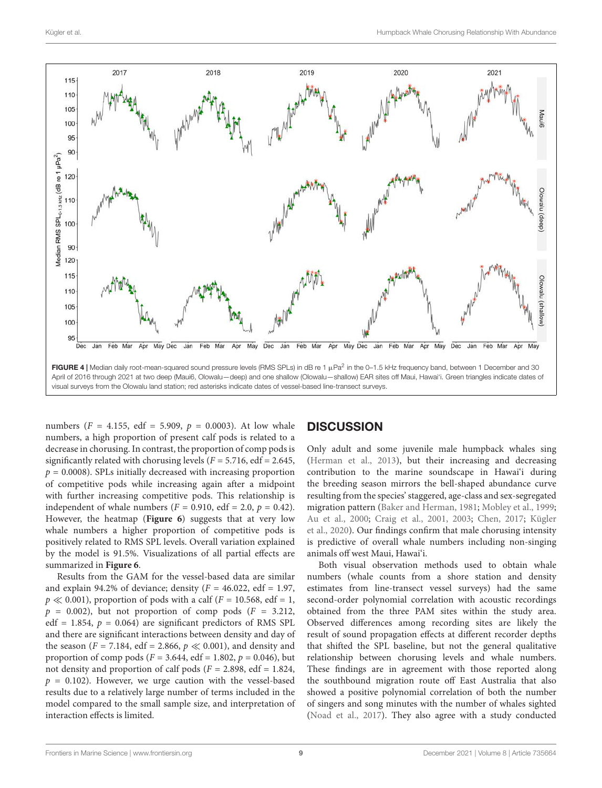

<span id="page-8-0"></span>numbers ( $F = 4.155$ , edf = 5.909,  $p = 0.0003$ ). At low whale numbers, a high proportion of present calf pods is related to a decrease in chorusing. In contrast, the proportion of comp pods is significantly related with chorusing levels ( $F = 5.716$ , edf = 2.645,  $p = 0.0008$ ). SPLs initially decreased with increasing proportion of competitive pods while increasing again after a midpoint with further increasing competitive pods. This relationship is independent of whale numbers ( $F = 0.910$ , edf = 2.0,  $p = 0.42$ ). However, the heatmap (**[Figure 6](#page-11-0)**) suggests that at very low whale numbers a higher proportion of competitive pods is positively related to RMS SPL levels. Overall variation explained by the model is 91.5%. Visualizations of all partial effects are summarized in **[Figure 6](#page-11-0)**.

Results from the GAM for the vessel-based data are similar and explain 94.2% of deviance; density  $(F = 46.022, \text{ edf} = 1.97,$  $p \ll 0.001$ ), proportion of pods with a calf ( $F = 10.568$ , edf = 1,  $p = 0.002$ ), but not proportion of comp pods ( $F = 3.212$ , edf = 1.854,  $p = 0.064$ ) are significant predictors of RMS SPL and there are significant interactions between density and day of the season ( $F = 7.184$ , edf = 2.866,  $p \ll 0.001$ ), and density and proportion of comp pods ( $F = 3.644$ , edf = 1.802,  $p = 0.046$ ), but not density and proportion of calf pods ( $F = 2.898$ , edf = 1.824,  $p = 0.102$ ). However, we urge caution with the vessel-based results due to a relatively large number of terms included in the model compared to the small sample size, and interpretation of interaction effects is limited.

## **DISCUSSION**

Only adult and some juvenile male humpback whales sing [\(Herman et al., 2013\)](#page-13-17), but their increasing and decreasing contribution to the marine soundscape in Hawai'i during the breeding season mirrors the bell-shaped abundance curve resulting from the species' staggered, age-class and sex-segregated migration pattern [\(Baker and Herman, 1981;](#page-12-10) [Mobley et al., 1999;](#page-14-24) [Au et al., 2000;](#page-12-6) [Craig et al., 2001,](#page-13-28) [2003;](#page-13-29) [Chen, 2017;](#page-13-22) [Kügler](#page-14-23) [et al., 2020\)](#page-14-23). Our findings confirm that male chorusing intensity is predictive of overall whale numbers including non-singing animals off west Maui, Hawai'i.

Both visual observation methods used to obtain whale numbers (whale counts from a shore station and density estimates from line-transect vessel surveys) had the same second-order polynomial correlation with acoustic recordings obtained from the three PAM sites within the study area. Observed differences among recording sites are likely the result of sound propagation effects at different recorder depths that shifted the SPL baseline, but not the general qualitative relationship between chorusing levels and whale numbers. These findings are in agreement with those reported along the southbound migration route off East Australia that also showed a positive polynomial correlation of both the number of singers and song minutes with the number of whales sighted [\(Noad et al., 2017\)](#page-14-26). They also agree with a study conducted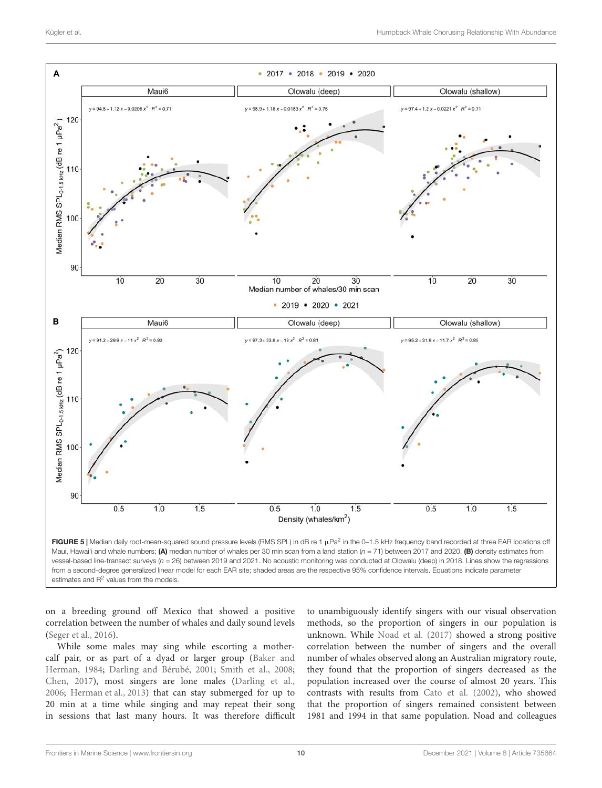

<span id="page-9-0"></span>vessel-based line-transect surveys (n = 26) between 2019 and 2021. No acoustic monitoring was conducted at Olowalu (deep) in 2018. Lines show the regressions from a second-degree generalized linear model for each EAR site; shaded areas are the respective 95% confidence intervals. Equations indicate parameter estimates and R<sup>2</sup> values from the models.

on a breeding ground off Mexico that showed a positive correlation between the number of whales and daily sound levels [\(Seger et al., 2016\)](#page-14-18).

While some males may sing while escorting a mothercalf pair, or as part of a dyad or larger group [\(Baker and](#page-12-15) [Herman, 1984;](#page-12-15) [Darling and Bérubé, 2001;](#page-13-30) [Smith et al., 2008;](#page-14-22) [Chen, 2017\)](#page-13-22), most singers are lone males [\(Darling et al.,](#page-13-19) [2006;](#page-13-19) [Herman et al., 2013\)](#page-13-17) that can stay submerged for up to 20 min at a time while singing and may repeat their song in sessions that last many hours. It was therefore difficult to unambiguously identify singers with our visual observation methods, so the proportion of singers in our population is unknown. While [Noad et al.](#page-14-26) [\(2017\)](#page-14-26) showed a strong positive correlation between the number of singers and the overall number of whales observed along an Australian migratory route, they found that the proportion of singers decreased as the population increased over the course of almost 20 years. This contrasts with results from [Cato et al.](#page-13-31) [\(2002\)](#page-13-31), who showed that the proportion of singers remained consistent between 1981 and 1994 in that same population. Noad and colleagues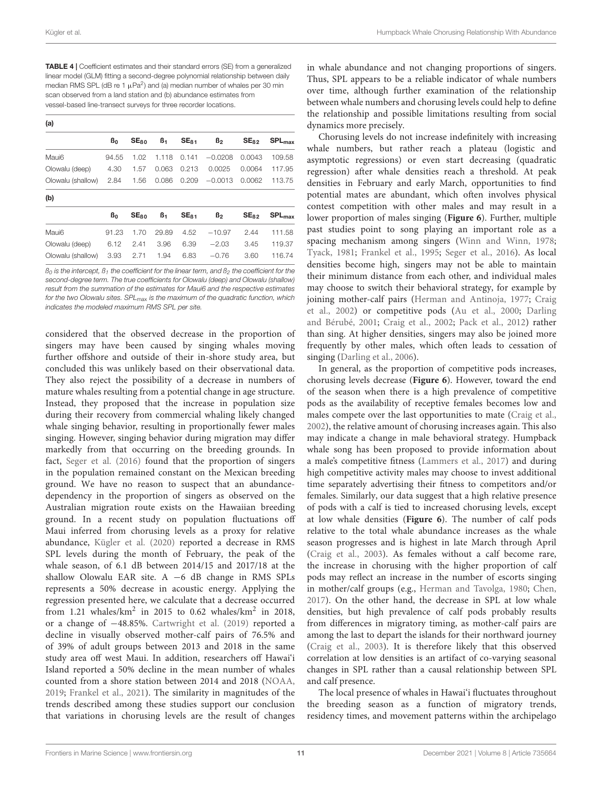<span id="page-10-0"></span>TABLE 4 | Coefficient estimates and their standard errors (SE) from a generalized linear model (GLM) fitting a second-degree polynomial relationship between daily median RMS SPL (dB re 1  $\mu$ Pa<sup>2</sup>) and (a) median number of whales per 30 min scan observed from a land station and (b) abundance estimates from vessel-based line-transect surveys for three recorder locations.

| (a)            |                  |                |                  |                |                  |             |  |  |  |  |  |  |  |
|----------------|------------------|----------------|------------------|----------------|------------------|-------------|--|--|--|--|--|--|--|
| B <sub>0</sub> | SE <sub>60</sub> | ß1             | SE <sub>61</sub> | B <sub>2</sub> | SE <sub>62</sub> | $SPL_{max}$ |  |  |  |  |  |  |  |
| 94.55          | 1.02             | 1.118          | 0.141            | $-0.0208$      | 0.0043           | 109.58      |  |  |  |  |  |  |  |
| 4.30           | 1.57             | 0.063          | 0.213            | 0.0025         | 0.0064           | 117.95      |  |  |  |  |  |  |  |
| 2.84           | 1.56             | 0.086          | 0.209            | $-0.0013$      | 0.0062           | 113.75      |  |  |  |  |  |  |  |
|                |                  |                |                  |                |                  |             |  |  |  |  |  |  |  |
| B <sub>0</sub> | SE <sub>BD</sub> | B <sub>1</sub> | SE <sub>81</sub> | B <sub>2</sub> | SE <sub>62</sub> | $SPL_{max}$ |  |  |  |  |  |  |  |
| 91.23          | 1.70             | 29.89          | 4.52             | $-10.97$       | 2.44             | 111.58      |  |  |  |  |  |  |  |
| 6.12           | 2.41             | 3.96           | 6.39             | $-2.03$        | 3.45             | 119.37      |  |  |  |  |  |  |  |
| 3.93           | 2.71             | 1.94           | 6.83             | $-0.76$        | 3.60             | 116.74      |  |  |  |  |  |  |  |
|                |                  |                |                  |                |                  |             |  |  |  |  |  |  |  |

 $B_0$  is the intercept,  $B_1$  the coefficient for the linear term, and  $B_2$  the coefficient for the second-degree term. The true coefficients for Olowalu (deep) and Olowalu (shallow) result from the summation of the estimates for Maui6 and the respective estimates for the two Olowalu sites. SPL<sub>max</sub> is the maximum of the quadratic function, which indicates the modeled maximum RMS SPL per site.

considered that the observed decrease in the proportion of singers may have been caused by singing whales moving further offshore and outside of their in-shore study area, but concluded this was unlikely based on their observational data. They also reject the possibility of a decrease in numbers of mature whales resulting from a potential change in age structure. Instead, they proposed that the increase in population size during their recovery from commercial whaling likely changed whale singing behavior, resulting in proportionally fewer males singing. However, singing behavior during migration may differ markedly from that occurring on the breeding grounds. In fact, [Seger et al.](#page-14-18) [\(2016\)](#page-14-18) found that the proportion of singers in the population remained constant on the Mexican breeding ground. We have no reason to suspect that an abundancedependency in the proportion of singers as observed on the Australian migration route exists on the Hawaiian breeding ground. In a recent study on population fluctuations off Maui inferred from chorusing levels as a proxy for relative abundance, [Kügler et al.](#page-14-23) [\(2020\)](#page-14-23) reported a decrease in RMS SPL levels during the month of February, the peak of the whale season, of 6.1 dB between 2014/15 and 2017/18 at the shallow Olowalu EAR site. A −6 dB change in RMS SPLs represents a 50% decrease in acoustic energy. Applying the regression presented here, we calculate that a decrease occurred from 1.21 whales/ $km^2$  in 2015 to 0.62 whales/ $km^2$  in 2018, or a change of −48.85%. [Cartwright et al.](#page-13-32) [\(2019\)](#page-13-32) reported a decline in visually observed mother-calf pairs of 76.5% and of 39% of adult groups between 2013 and 2018 in the same study area off west Maui. In addition, researchers off Hawai'i Island reported a 50% decline in the mean number of whales counted from a shore station between 2014 and 2018 [\(NOAA,](#page-14-31) [2019;](#page-14-31) [Frankel et al., 2021\)](#page-13-33). The similarity in magnitudes of the trends described among these studies support our conclusion that variations in chorusing levels are the result of changes

in whale abundance and not changing proportions of singers. Thus, SPL appears to be a reliable indicator of whale numbers over time, although further examination of the relationship between whale numbers and chorusing levels could help to define the relationship and possible limitations resulting from social dynamics more precisely.

Chorusing levels do not increase indefinitely with increasing whale numbers, but rather reach a plateau (logistic and asymptotic regressions) or even start decreasing (quadratic regression) after whale densities reach a threshold. At peak densities in February and early March, opportunities to find potential mates are abundant, which often involves physical contest competition with other males and may result in a lower proportion of males singing (**[Figure 6](#page-11-0)**). Further, multiple past studies point to song playing an important role as a spacing mechanism among singers [\(Winn and Winn, 1978;](#page-15-17) [Tyack, 1981;](#page-15-18) [Frankel et al., 1995;](#page-13-34) [Seger et al., 2016\)](#page-14-18). As local densities become high, singers may not be able to maintain their minimum distance from each other, and individual males may choose to switch their behavioral strategy, for example by joining mother-calf pairs [\(Herman and Antinoja, 1977;](#page-13-12) [Craig](#page-13-35) [et al., 2002\)](#page-13-35) or competitive pods [\(Au et al., 2000;](#page-12-6) [Darling](#page-13-30) [and Bérubé, 2001;](#page-13-30) [Craig et al., 2002;](#page-13-35) [Pack et al., 2012\)](#page-14-32) rather than sing. At higher densities, singers may also be joined more frequently by other males, which often leads to cessation of singing [\(Darling et al., 2006\)](#page-13-19).

In general, as the proportion of competitive pods increases, chorusing levels decrease (**[Figure 6](#page-11-0)**). However, toward the end of the season when there is a high prevalence of competitive pods as the availability of receptive females becomes low and males compete over the last opportunities to mate [\(Craig et al.,](#page-13-35) [2002\)](#page-13-35), the relative amount of chorusing increases again. This also may indicate a change in male behavioral strategy. Humpback whale song has been proposed to provide information about a male's competitive fitness [\(Lammers et al., 2017\)](#page-14-33) and during high competitive activity males may choose to invest additional time separately advertising their fitness to competitors and/or females. Similarly, our data suggest that a high relative presence of pods with a calf is tied to increased chorusing levels, except at low whale densities (**[Figure 6](#page-11-0)**). The number of calf pods relative to the total whale abundance increases as the whale season progresses and is highest in late March through April [\(Craig et al., 2003\)](#page-13-29). As females without a calf become rare, the increase in chorusing with the higher proportion of calf pods may reflect an increase in the number of escorts singing in mother/calf groups (e.g., [Herman and Tavolga, 1980;](#page-13-18) [Chen,](#page-13-22) [2017\)](#page-13-22). On the other hand, the decrease in SPL at low whale densities, but high prevalence of calf pods probably results from differences in migratory timing, as mother-calf pairs are among the last to depart the islands for their northward journey [\(Craig et al., 2003\)](#page-13-29). It is therefore likely that this observed correlation at low densities is an artifact of co-varying seasonal changes in SPL rather than a causal relationship between SPL and calf presence.

The local presence of whales in Hawai'i fluctuates throughout the breeding season as a function of migratory trends, residency times, and movement patterns within the archipelago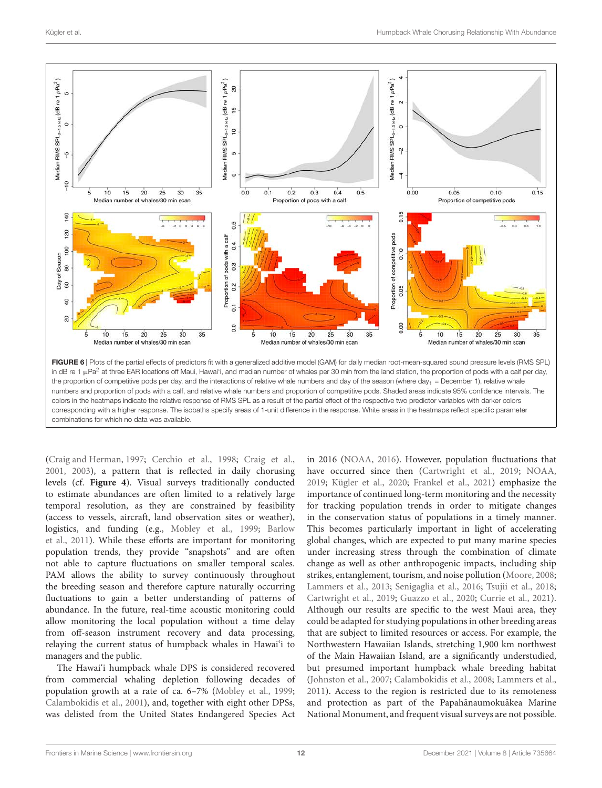

<span id="page-11-0"></span>[\(Craig and Herman, 1997;](#page-13-36) [Cerchio et al., 1998;](#page-13-37) [Craig et al.,](#page-13-28) [2001,](#page-13-28) [2003\)](#page-13-29), a pattern that is reflected in daily chorusing levels (cf. **[Figure 4](#page-8-0)**). Visual surveys traditionally conducted to estimate abundances are often limited to a relatively large temporal resolution, as they are constrained by feasibility (access to vessels, aircraft, land observation sites or weather), logistics, and funding (e.g., [Mobley et al., 1999;](#page-14-24) [Barlow](#page-12-16) [et al., 2011\)](#page-12-16). While these efforts are important for monitoring population trends, they provide "snapshots" and are often not able to capture fluctuations on smaller temporal scales. PAM allows the ability to survey continuously throughout the breeding season and therefore capture naturally occurring fluctuations to gain a better understanding of patterns of abundance. In the future, real-time acoustic monitoring could allow monitoring the local population without a time delay from off-season instrument recovery and data processing, relaying the current status of humpback whales in Hawai'i to managers and the public.

The Hawai'i humpback whale DPS is considered recovered from commercial whaling depletion following decades of population growth at a rate of ca. 6–7% [\(Mobley et al., 1999;](#page-14-24) [Calambokidis et al., 2001\)](#page-13-38), and, together with eight other DPSs, was delisted from the United States Endangered Species Act

in 2016 [\(NOAA, 2016\)](#page-14-19). However, population fluctuations that have occurred since then [\(Cartwright et al., 2019;](#page-13-32) [NOAA,](#page-14-31) [2019;](#page-14-31) [Kügler et al., 2020;](#page-14-23) [Frankel et al., 2021\)](#page-13-33) emphasize the importance of continued long-term monitoring and the necessity for tracking population trends in order to mitigate changes in the conservation status of populations in a timely manner. This becomes particularly important in light of accelerating global changes, which are expected to put many marine species under increasing stress through the combination of climate change as well as other anthropogenic impacts, including ship strikes, entanglement, tourism, and noise pollution [\(Moore, 2008;](#page-14-34) [Lammers et al., 2013;](#page-14-35) [Senigaglia et al., 2016;](#page-14-36) [Tsujii et al., 2018;](#page-15-19) [Cartwright et al., 2019;](#page-13-32) [Guazzo et al., 2020;](#page-13-39) [Currie et al., 2021\)](#page-13-40). Although our results are specific to the west Maui area, they could be adapted for studying populations in other breeding areas that are subject to limited resources or access. For example, the Northwestern Hawaiian Islands, stretching 1,900 km northwest of the Main Hawaiian Island, are a significantly understudied, but presumed important humpback whale breeding habitat [\(Johnston et al., 2007;](#page-13-41) [Calambokidis et al., 2008;](#page-13-13) [Lammers et al.,](#page-14-37) [2011\)](#page-14-37). Access to the region is restricted due to its remoteness and protection as part of the Papahānaumokuākea Marine National Monument, and frequent visual surveys are not possible.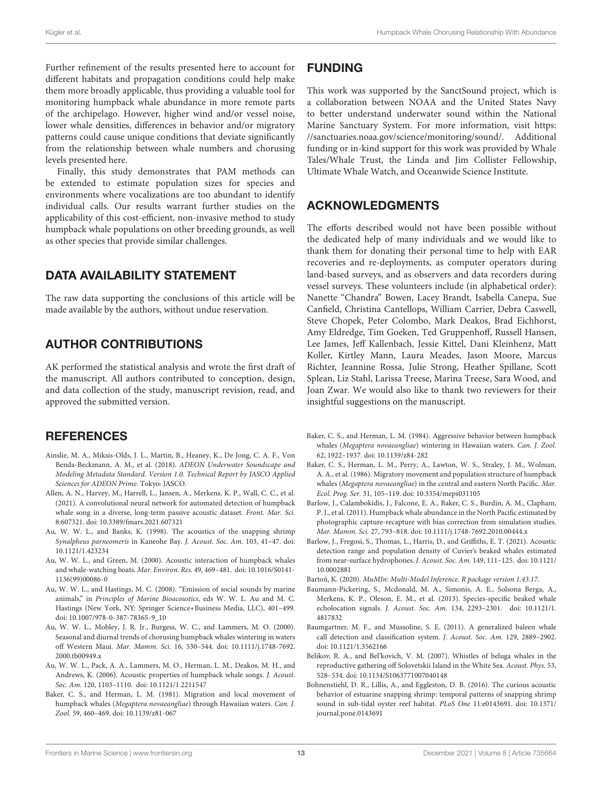Further refinement of the results presented here to account for different habitats and propagation conditions could help make them more broadly applicable, thus providing a valuable tool for monitoring humpback whale abundance in more remote parts of the archipelago. However, higher wind and/or vessel noise, lower whale densities, differences in behavior and/or migratory patterns could cause unique conditions that deviate significantly from the relationship between whale numbers and chorusing levels presented here.

Finally, this study demonstrates that PAM methods can be extended to estimate population sizes for species and environments where vocalizations are too abundant to identify individual calls. Our results warrant further studies on the applicability of this cost-efficient, non-invasive method to study humpback whale populations on other breeding grounds, as well as other species that provide similar challenges.

## DATA AVAILABILITY STATEMENT

The raw data supporting the conclusions of this article will be made available by the authors, without undue reservation.

## AUTHOR CONTRIBUTIONS

AK performed the statistical analysis and wrote the first draft of the manuscript. All authors contributed to conception, design, and data collection of the study, manuscript revision, read, and approved the submitted version.

## **REFERENCES**

- <span id="page-12-12"></span>Ainslie, M. A., Miksis-Olds, J. L., Martin, B., Heaney, K., De Jong, C. A. F., Von Benda-Beckmann, A. M., et al. (2018). ADEON Underwater Soundscape and Modeling Metadata Standard. Version 1.0. Technical Report by JASCO Applied Sciences for ADEON Prime. Tokyo: JASCO.
- <span id="page-12-4"></span>Allen, A. N., Harvey, M., Harrell, L., Jansen, A., Merkens, K. P., Wall, C. C., et al. (2021). A convolutional neural network for automated detection of humpback whale song in a diverse, long-term passive acoustic dataset. Front. Mar. Sci. 8:607321. [doi: 10.3389/fmars.2021.607321](https://doi.org/10.3389/fmars.2021.607321)
- <span id="page-12-11"></span>Au, W. W. L., and Banks, K. (1998). The acoustics of the snapping shrimp Synalpheus parneomeris in Kaneohe Bay. J. Acoust. Soc. Am. 103, 41–47. [doi:](https://doi.org/10.1121/1.423234) [10.1121/1.423234](https://doi.org/10.1121/1.423234)
- <span id="page-12-13"></span>Au, W. W. L., and Green, M. (2000). Acoustic interaction of humpback whales and whale-watching boats. Mar. Environ. Res. 49, 469–481. [doi: 10.1016/S0141-](https://doi.org/10.1016/S0141-1136(99)00086-0) [1136\(99\)00086-0](https://doi.org/10.1016/S0141-1136(99)00086-0)
- <span id="page-12-8"></span>Au, W. W. L., and Hastings, M. C. (2008). "Emission of social sounds by marine animals," in Principles of Marine Bioacoustics, eds W. W. L. Au and M. C. Hastings (New York, NY: Springer Science+Business Media, LLC), 401–499. [doi: 10.1007/978-0-387-78365-9\\_10](https://doi.org/10.1007/978-0-387-78365-9_10)
- <span id="page-12-6"></span>Au, W. W. L., Mobley, J. R. Jr., Burgess, W. C., and Lammers, M. O. (2000). Seasonal and diurnal trends of chorusing humpback whales wintering in waters off Western Maui. Mar. Mamm. Sci. 16, 530–544. [doi: 10.1111/j.1748-7692.](https://doi.org/10.1111/j.1748-7692.2000.tb00949.x) [2000.tb00949.x](https://doi.org/10.1111/j.1748-7692.2000.tb00949.x)
- <span id="page-12-9"></span>Au, W. W. L., Pack, A. A., Lammers, M. O., Herman, L. M., Deakos, M. H., and Andrews, K. (2006). Acoustic properties of humpback whale songs. J. Acoust. Soc. Am. 120, 1103–1110. [doi: 10.1121/1.2211547](https://doi.org/10.1121/1.2211547)
- <span id="page-12-10"></span>Baker, C. S., and Herman, L. M. (1981). Migration and local movement of humpback whales (Megaptera novaeangliae) through Hawaiian waters. Can. J. Zool. 59, 460–469. [doi: 10.1139/z81-067](https://doi.org/10.1139/z81-067)

## FUNDING

This work was supported by the SanctSound project, which is a collaboration between NOAA and the United States Navy to better understand underwater sound within the National Marine Sanctuary System. For more information, visit [https:](https://sanctuaries.noaa.gov/science/monitoring/sound/) [//sanctuaries.noaa.gov/science/monitoring/sound/.](https://sanctuaries.noaa.gov/science/monitoring/sound/) Additional funding or in-kind support for this work was provided by Whale Tales/Whale Trust, the Linda and Jim Collister Fellowship, Ultimate Whale Watch, and Oceanwide Science Institute.

## ACKNOWLEDGMENTS

The efforts described would not have been possible without the dedicated help of many individuals and we would like to thank them for donating their personal time to help with EAR recoveries and re-deployments, as computer operators during land-based surveys, and as observers and data recorders during vessel surveys. These volunteers include (in alphabetical order): Nanette "Chandra" Bowen, Lacey Brandt, Isabella Canepa, Sue Canfield, Christina Cantellops, William Carrier, Debra Caswell, Steve Chopek, Peter Colombo, Mark Deakos, Brad Eichhorst, Amy Eldredge, Tim Goeken, Ted Gruppenhoff, Russell Hansen, Lee James, Jeff Kallenbach, Jessie Kittel, Dani Kleinhenz, Matt Koller, Kirtley Mann, Laura Meades, Jason Moore, Marcus Richter, Jeannine Rossa, Julie Strong, Heather Spillane, Scott Splean, Liz Stahl, Larissa Treese, Marina Treese, Sara Wood, and Joan Zwar. We would also like to thank two reviewers for their insightful suggestions on the manuscript.

- <span id="page-12-15"></span>Baker, C. S., and Herman, L. M. (1984). Aggressive behavior between humpback whales (Megaptera novaeangliae) wintering in Hawaiian waters. Can. J. Zool. 62, 1922–1937. [doi: 10.1139/z84-282](https://doi.org/10.1139/z84-282)
- <span id="page-12-7"></span>Baker, C. S., Herman, L. M., Perry, A., Lawton, W. S., Straley, J. M., Wolman, A. A., et al. (1986). Migratory movement and population structure of humpback whales (Megaptera novaeangliae) in the central and eastern North Pacific. Mar. Ecol. Prog. Ser. 31, 105–119. [doi: 10.3354/meps031105](https://doi.org/10.3354/meps031105)
- <span id="page-12-16"></span>Barlow, J., Calambokidis, J., Falcone, E. A., Baker, C. S., Burdin, A. M., Clapham, P. J., et al. (2011). Humpback whale abundance in the North Pacific estimated by photographic capture-recapture with bias correction from simulation studies. Mar. Mamm. Sci. 27, 793–818. [doi: 10.1111/j.1748-7692.2010.00444.x](https://doi.org/10.1111/j.1748-7692.2010.00444.x)
- <span id="page-12-5"></span>Barlow, J., Fregosi, S., Thomas, L., Harris, D., and Griffiths, E. T. (2021). Acoustic detection range and population density of Cuvier's beaked whales estimated from near-surface hydrophones. J. Acoust. Soc. Am. 149, 111–125. [doi: 10.1121/](https://doi.org/10.1121/10.0002881) [10.0002881](https://doi.org/10.1121/10.0002881)
- <span id="page-12-14"></span>Barton, K. (2020). MuMIn: Multi-Model Inference. R package version 1.43.17.
- <span id="page-12-3"></span>Baumann-Pickering, S., Mcdonald, M. A., Simonis, A. E., Solsona Berga, A., Merkens, K. P., Oleson, E. M., et al. (2013). Species-specific beaked whale echolocation signals. J. Acoust. Soc. Am. 134, 2293–2301. [doi: 10.1121/1.](https://doi.org/10.1121/1.4817832) [4817832](https://doi.org/10.1121/1.4817832)
- <span id="page-12-2"></span>Baumgartner, M. F., and Mussoline, S. E. (2011). A generalized baleen whale call detection and classification system. J. Acoust. Soc. Am. 129, 2889–2902. [doi: 10.1121/1.3562166](https://doi.org/10.1121/1.3562166)
- <span id="page-12-1"></span>Belikov, R. A., and Bel'kovich, V. M. (2007). Whistles of beluga whales in the reproductive gathering off Solovetskii Island in the White Sea. Acoust. Phys. 53, 528–534. [doi: 10.1134/S1063771007040148](https://doi.org/10.1134/S1063771007040148)
- <span id="page-12-0"></span>Bohnenstiehl, D. R., Lillis, A., and Eggleston, D. B. (2016). The curious acoustic behavior of estuarine snapping shrimp: temporal patterns of snapping shrimp sound in sub-tidal oyster reef habitat. PLoS One 11:e0143691. [doi: 10.1371/](https://doi.org/10.1371/journal.pone.0143691) [journal.pone.0143691](https://doi.org/10.1371/journal.pone.0143691)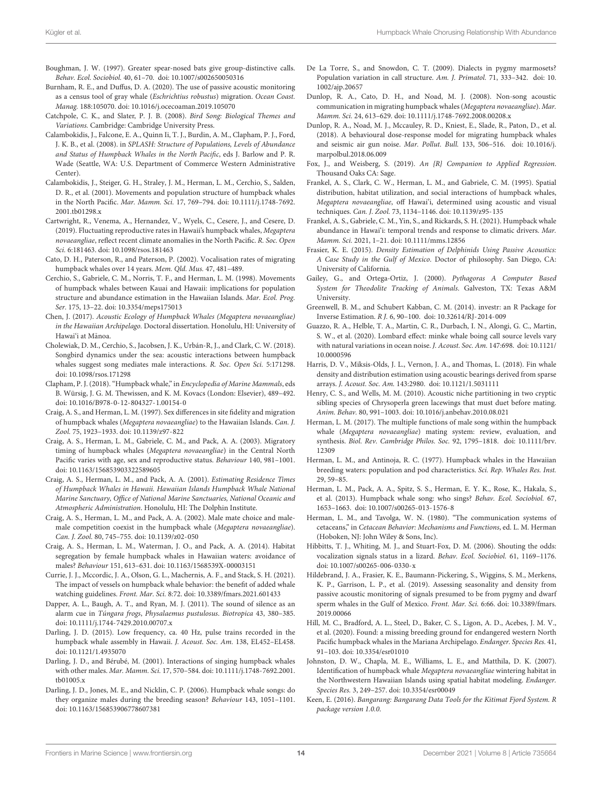- <span id="page-13-4"></span>Boughman, J. W. (1997). Greater spear-nosed bats give group-distinctive calls. Behav. Ecol. Sociobiol. 40, 61–70. [doi: 10.1007/s002650050316](https://doi.org/10.1007/s002650050316)
- <span id="page-13-8"></span>Burnham, R. E., and Duffus, D. A. (2020). The use of passive acoustic monitoring as a census tool of gray whale (Eschrichtius robustus) migration. Ocean Coast. Manag. 188:105070. [doi: 10.1016/j.ocecoaman.2019.105070](https://doi.org/10.1016/j.ocecoaman.2019.105070)
- <span id="page-13-3"></span>Catchpole, C. K., and Slater, P. J. B. (2008). Bird Song: Biological Themes and Variations. Cambridge: Cambridge University Press.
- <span id="page-13-13"></span>Calambokidis, J., Falcone, E. A., Quinn Ii, T. J., Burdin, A. M., Clapham, P. J., Ford, J. K. B., et al. (2008). in SPLASH: Structure of Populations, Levels of Abundance and Status of Humpback Whales in the North Pacific, eds J. Barlow and P. R. Wade (Seattle, WA: U.S. Department of Commerce Western Administrative Center).
- <span id="page-13-38"></span>Calambokidis, J., Steiger, G. H., Straley, J. M., Herman, L. M., Cerchio, S., Salden, D. R., et al. (2001). Movements and population structure of humpback whales in the North Pacific. Mar. Mamm. Sci. 17, 769–794. [doi: 10.1111/j.1748-7692.](https://doi.org/10.1111/j.1748-7692.2001.tb01298.x) 2001 tb01298 x
- <span id="page-13-32"></span>Cartwright, R., Venema, A., Hernandez, V., Wyels, C., Cesere, J., and Cesere, D. (2019). Fluctuating reproductive rates in Hawaii's humpback whales, Megaptera novaeangliae, reflect recent climate anomalies in the North Pacific. R. Soc. Open Sci. 6:181463. [doi: 10.1098/rsos.181463](https://doi.org/10.1098/rsos.181463)
- <span id="page-13-31"></span>Cato, D. H., Paterson, R., and Paterson, P. (2002). Vocalisation rates of migrating humpback whales over 14 years. Mem. Qld. Mus. 47, 481–489.
- <span id="page-13-37"></span>Cerchio, S., Gabriele, C. M., Norris, T. F., and Herman, L. M. (1998). Movements of humpback whales between Kauai and Hawaii: implications for population structure and abundance estimation in the Hawaiian Islands. Mar. Ecol. Prog. Ser. 175, 13–22. [doi: 10.3354/meps175013](https://doi.org/10.3354/meps175013)
- <span id="page-13-22"></span>Chen, J. (2017). Acoustic Ecology of Humpback Whales (Megaptera novaeangliae) in the Hawaiian Archipelago. Doctoral dissertation. Honolulu, HI: University of Hawai'i at Manoa. ¯
- <span id="page-13-20"></span>Cholewiak, D. M., Cerchio, S., Jacobsen, J. K., Urbán-R, J., and Clark, C. W. (2018). Songbird dynamics under the sea: acoustic interactions between humpback whales suggest song mediates male interactions. R. Soc. Open Sci. 5:171298. [doi: 10.1098/rsos.171298](https://doi.org/10.1098/rsos.171298)
- <span id="page-13-11"></span>Clapham, P. J. (2018). "Humpback whale," in Encyclopedia of Marine Mammals, eds B. Würsig, J. G. M. Thewissen, and K. M. Kovacs (London: Elsevier), 489–492. [doi: 10.1016/B978-0-12-804327-1.00154-0](https://doi.org/10.1016/B978-0-12-804327-1.00154-0)
- <span id="page-13-36"></span>Craig, A. S., and Herman, L. M. (1997). Sex differences in site fidelity and migration of humpback whales (Megaptera novaeangliae) to the Hawaiian Islands. Can. J. Zool. 75, 1923–1933. [doi: 10.1139/z97-822](https://doi.org/10.1139/z97-822)
- <span id="page-13-29"></span>Craig, A. S., Herman, L. M., Gabriele, C. M., and Pack, A. A. (2003). Migratory timing of humpback whales (Megaptera novaeangliae) in the Central North Pacific varies with age, sex and reproductive status. Behaviour 140, 981–1001. [doi: 10.1163/156853903322589605](https://doi.org/10.1163/156853903322589605)
- <span id="page-13-28"></span>Craig, A. S., Herman, L. M., and Pack, A. A. (2001). Estimating Residence Times of Humpback Whales in Hawaii. Hawaiian Islands Humpback Whale National Marine Sanctuary, Office of National Marine Sanctuaries, National Oceanic and Atmospheric Administration. Honolulu, HI: The Dolphin Institute.
- <span id="page-13-35"></span>Craig, A. S., Herman, L. M., and Pack, A. A. (2002). Male mate choice and malemale competition coexist in the humpback whale (Megaptera novaeangliae). Can. J. Zool. 80, 745–755. [doi: 10.1139/z02-050](https://doi.org/10.1139/z02-050)
- <span id="page-13-24"></span>Craig, A. S., Herman, L. M., Waterman, J. O., and Pack, A. A. (2014). Habitat segregation by female humpback whales in Hawaiian waters: avoidance of males? Behaviour 151, 613–631. [doi: 10.1163/1568539X-00003151](https://doi.org/10.1163/1568539X-00003151)
- <span id="page-13-40"></span>Currie, J. J., Mccordic, J. A., Olson, G. L., Machernis, A. F., and Stack, S. H. (2021). The impact of vessels on humpback whale behavior: the benefit of added whale watching guidelines. Front. Mar. Sci. 8:72. [doi: 10.3389/fmars.2021.601433](https://doi.org/10.3389/fmars.2021.601433)
- <span id="page-13-1"></span>Dapper, A. L., Baugh, A. T., and Ryan, M. J. (2011). The sound of silence as an alarm cue in Túngara frogs, Physalaemus pustulosus. Biotropica 43, 380–385. [doi: 10.1111/j.1744-7429.2010.00707.x](https://doi.org/10.1111/j.1744-7429.2010.00707.x)
- <span id="page-13-16"></span>Darling, J. D. (2015). Low frequency, ca. 40 Hz, pulse trains recorded in the humpback whale assembly in Hawaii. J. Acoust. Soc. Am. 138, EL452-EL458. [doi: 10.1121/1.4935070](https://doi.org/10.1121/1.4935070)
- <span id="page-13-30"></span>Darling, J. D., and Bérubé, M. (2001). Interactions of singing humpback whales with other males. Mar. Mamm. Sci. 17, 570–584. [doi: 10.1111/j.1748-7692.2001.](https://doi.org/10.1111/j.1748-7692.2001.tb01005.x) [tb01005.x](https://doi.org/10.1111/j.1748-7692.2001.tb01005.x)
- <span id="page-13-19"></span>Darling, J. D., Jones, M. E., and Nicklin, C. P. (2006). Humpback whale songs: do they organize males during the breeding season? Behaviour 143, 1051–1101. [doi: 10.1163/156853906778607381](https://doi.org/10.1163/156853906778607381)
- <span id="page-13-5"></span>De La Torre, S., and Snowdon, C. T. (2009). Dialects in pygmy marmosets? Population variation in call structure. Am. J. Primatol. 71, 333–342. [doi: 10.](https://doi.org/10.1002/ajp.20657) [1002/ajp.20657](https://doi.org/10.1002/ajp.20657)
- <span id="page-13-15"></span>Dunlop, R. A., Cato, D. H., and Noad, M. J. (2008). Non-song acoustic communication in migrating humpback whales (Megaptera novaeangliae). Mar. Mamm. Sci. 24, 613–629. [doi: 10.1111/j.1748-7692.2008.00208.x](https://doi.org/10.1111/j.1748-7692.2008.00208.x)
- <span id="page-13-6"></span>Dunlop, R. A., Noad, M. J., Mccauley, R. D., Kniest, E., Slade, R., Paton, D., et al. (2018). A behavioural dose-response model for migrating humpback whales and seismic air gun noise. Mar. Pollut. Bull. 133, 506–516. [doi: 10.1016/j.](https://doi.org/10.1016/j.marpolbul.2018.06.009) [marpolbul.2018.06.009](https://doi.org/10.1016/j.marpolbul.2018.06.009)
- <span id="page-13-26"></span>Fox, J., and Weisberg, S. (2019). An {R} Companion to Applied Regression. Thousand Oaks CA: Sage.
- <span id="page-13-34"></span>Frankel, A. S., Clark, C. W., Herman, L. M., and Gabriele, C. M. (1995). Spatial distribution, habitat utilization, and social interactions of humpback whales, Megaptera novaeangliae, off Hawai'i, determined using acoustic and visual techniques. Can. J. Zool. 73, 1134–1146. [doi: 10.1139/z95-135](https://doi.org/10.1139/z95-135)
- <span id="page-13-33"></span>Frankel, A. S., Gabriele, C. M., Yin, S., and Rickards, S. H. (2021). Humpback whale abundance in Hawai'i: temporal trends and response to climatic drivers. Mar. Mamm. Sci. 2021, 1–21. [doi: 10.1111/mms.12856](https://doi.org/10.1111/mms.12856)
- <span id="page-13-10"></span>Frasier, K. E. (2015). Density Estimation of Delphinids Using Passive Acoustics: A Case Study in the Gulf of Mexico. Doctor of philosophy. San Diego, CA: University of California.
- <span id="page-13-23"></span>Gailey, G., and Ortega-Ortiz, J. (2000). Pythagoras A Computer Based System for Theodolite Tracking of Animals. Galveston, TX: Texas A&M University.
- <span id="page-13-27"></span>Greenwell, B. M., and Schubert Kabban, C. M. (2014). investr: an R Package for Inverse Estimation. R J. 6, 90–100. [doi: 10.32614/RJ-2014-009](https://doi.org/10.32614/RJ-2014-009)
- <span id="page-13-39"></span>Guazzo, R. A., Helble, T. A., Martin, C. R., Durbach, I. N., Alongi, G. C., Martin, S. W., et al. (2020). Lombard effect: minke whale boing call source levels vary with natural variations in ocean noise. J. Acoust. Soc. Am. 147:698. [doi: 10.1121/](https://doi.org/10.1121/10.0000596) [10.0000596](https://doi.org/10.1121/10.0000596)
- <span id="page-13-9"></span>Harris, D. V., Miksis-Olds, J. L., Vernon, J. A., and Thomas, L. (2018). Fin whale density and distribution estimation using acoustic bearings derived from sparse arrays. J. Acoust. Soc. Am. 143:2980. [doi: 10.1121/1.5031111](https://doi.org/10.1121/1.5031111)
- <span id="page-13-0"></span>Henry, C. S., and Wells, M. M. (2010). Acoustic niche partitioning in two cryptic sibling species of Chrysoperla green lacewings that must duet before mating. Anim. Behav. 80, 991–1003. [doi: 10.1016/j.anbehav.2010.08.021](https://doi.org/10.1016/j.anbehav.2010.08.021)
- <span id="page-13-21"></span>Herman, L. M. (2017). The multiple functions of male song within the humpback whale (Megaptera novaeangliae) mating system: review, evaluation, and synthesis. Biol. Rev. Cambridge Philos. Soc. 92, 1795–1818. [doi: 10.1111/brv.](https://doi.org/10.1111/brv.12309) [12309](https://doi.org/10.1111/brv.12309)
- <span id="page-13-12"></span>Herman, L. M., and Antinoja, R. C. (1977). Humpback whales in the Hawaiian breeding waters: population and pod characteristics. Sci. Rep. Whales Res. Inst. 29, 59–85.
- <span id="page-13-17"></span>Herman, L. M., Pack, A. A., Spitz, S. S., Herman, E. Y. K., Rose, K., Hakala, S., et al. (2013). Humpback whale song: who sings? Behav. Ecol. Sociobiol. 67, 1653–1663. [doi: 10.1007/s00265-013-1576-8](https://doi.org/10.1007/s00265-013-1576-8)
- <span id="page-13-18"></span>Herman, L. M., and Tavolga, W. N. (1980). "The communication systems of cetaceans," in Cetacean Behavior: Mechanisms and Functions, ed. L. M. Herman (Hoboken, NJ: John Wiley & Sons, Inc).
- <span id="page-13-2"></span>Hibbitts, T. J., Whiting, M. J., and Stuart-Fox, D. M. (2006). Shouting the odds: vocalization signals status in a lizard. Behav. Ecol. Sociobiol. 61, 1169–1176. [doi: 10.1007/s00265-006-0330-x](https://doi.org/10.1007/s00265-006-0330-x)
- <span id="page-13-7"></span>Hildebrand, J. A., Frasier, K. E., Baumann-Pickering, S., Wiggins, S. M., Merkens, K. P., Garrison, L. P., et al. (2019). Assessing seasonality and density from passive acoustic monitoring of signals presumed to be from pygmy and dwarf sperm whales in the Gulf of Mexico. Front. Mar. Sci. 6:66. [doi: 10.3389/fmars.](https://doi.org/10.3389/fmars.2019.00066) [2019.00066](https://doi.org/10.3389/fmars.2019.00066)
- <span id="page-13-14"></span>Hill, M. C., Bradford, A. L., Steel, D., Baker, C. S., Ligon, A. D., Acebes, J. M. V., et al. (2020). Found: a missing breeding ground for endangered western North Pacific humpback whales in the Mariana Archipelago. Endanger. Species Res. 41, 91–103. [doi: 10.3354/esr01010](https://doi.org/10.3354/esr01010)
- <span id="page-13-41"></span>Johnston, D. W., Chapla, M. E., Williams, L. E., and Matthila, D. K. (2007). Identification of humpback whale Megaptera novaeangliae wintering habitat in the Northwestern Hawaiian Islands using spatial habitat modeling. Endanger. Species Res. 3, 249–257. [doi: 10.3354/esr00049](https://doi.org/10.3354/esr00049)
- <span id="page-13-25"></span>Keen, E. (2016). Bangarang: Bangarang Data Tools for the Kitimat Fjord System. R package version 1.0.0.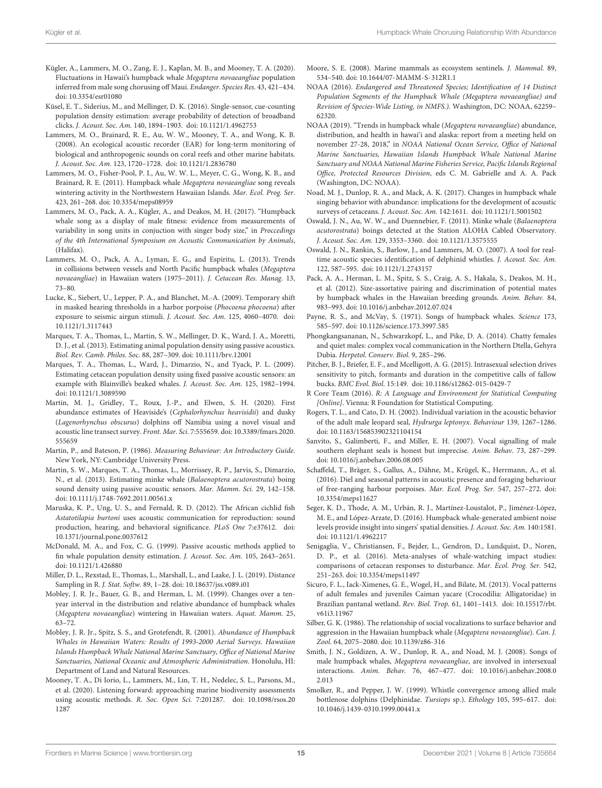- <span id="page-14-23"></span>Kügler, A., Lammers, M. O., Zang, E. J., Kaplan, M. B., and Mooney, T. A. (2020). Fluctuations in Hawaii's humpback whale Megaptera novaeangliae population inferred from male song chorusing off Maui. Endanger. Species Res. 43, 421–434. [doi: 10.3354/esr01080](https://doi.org/10.3354/esr01080)
- <span id="page-14-13"></span>Küsel, E. T., Siderius, M., and Mellinger, D. K. (2016). Single-sensor, cue-counting population density estimation: average probability of detection of broadband clicks. J. Acoust. Soc. Am. 140, 1894–1903. [doi: 10.1121/1.4962753](https://doi.org/10.1121/1.4962753)
- <span id="page-14-27"></span>Lammers, M. O., Brainard, R. E., Au, W. W., Mooney, T. A., and Wong, K. B. (2008). An ecological acoustic recorder (EAR) for long-term monitoring of biological and anthropogenic sounds on coral reefs and other marine habitats. J. Acoust. Soc. Am. 123, 1720–1728. [doi: 10.1121/1.2836780](https://doi.org/10.1121/1.2836780)
- <span id="page-14-37"></span>Lammers, M. O., Fisher-Pool, P. I., Au, W. W. L., Meyer, C. G., Wong, K. B., and Brainard, R. E. (2011). Humpback whale Megaptera novaeangliae song reveals wintering activity in the Northwestern Hawaiian Islands. Mar. Ecol. Prog. Ser. 423, 261–268. [doi: 10.3354/meps08959](https://doi.org/10.3354/meps08959)
- <span id="page-14-33"></span>Lammers, M. O., Pack, A. A., Kügler, A., and Deakos, M. H. (2017). "Humpback whale song as a display of male fitness: evidence from measurements of variability in song units in conjuction with singer body size," in Proccedings of the 4th International Symposium on Acoustic Communication by Animals, (Halifax).
- <span id="page-14-35"></span>Lammers, M. O., Pack, A. A., Lyman, E. G., and Espiritu, L. (2013). Trends in collisions between vessels and North Pacific humpback whales (Megaptera novaeangliae) in Hawaiian waters (1975–2011). J. Cetacean Res. Manag. 13, 73–80.
- <span id="page-14-10"></span>Lucke, K., Siebert, U., Lepper, P. A., and Blanchet, M.-A. (2009). Temporary shift in masked hearing thresholds in a harbor porpoise (Phocoena phocoena) after exposure to seismic airgun stimuli. J. Acoust. Soc. Am. 125, 4060–4070. [doi:](https://doi.org/10.1121/1.3117443) [10.1121/1.3117443](https://doi.org/10.1121/1.3117443)
- <span id="page-14-12"></span>Marques, T. A., Thomas, L., Martin, S. W., Mellinger, D. K., Ward, J. A., Moretti, D. J., et al. (2013). Estimating animal population density using passive acoustics. Biol. Rev. Camb. Philos. Soc. 88, 287–309. [doi: 10.1111/brv.12001](https://doi.org/10.1111/brv.12001)
- <span id="page-14-14"></span>Marques, T. A., Thomas, L., Ward, J., Dimarzio, N., and Tyack, P. L. (2009). Estimating cetacean population density using fixed passive acoustic sensors: an example with Blainville's beaked whales. J. Acoust. Soc. Am. 125, 1982–1994. [doi: 10.1121/1.3089590](https://doi.org/10.1121/1.3089590)
- <span id="page-14-17"></span>Martin, M. J., Gridley, T., Roux, J.-P., and Elwen, S. H. (2020). First abundance estimates of Heaviside's (Cephalorhynchus heavisidii) and dusky (Lagenorhynchus obscurus) dolphins off Namibia using a novel visual and acoustic line transect survey. Front. Mar. Sci. 7:555659[. doi: 10.3389/fmars.2020.](https://doi.org/10.3389/fmars.2020.555659) [555659](https://doi.org/10.3389/fmars.2020.555659)
- <span id="page-14-28"></span>Martin, P., and Bateson, P. (1986). Measuring Behaviour: An Introductory Guide. New York, NY: Cambridge University Press.
- <span id="page-14-15"></span>Martin, S. W., Marques, T. A., Thomas, L., Morrissey, R. P., Jarvis, S., Dimarzio, N., et al. (2013). Estimating minke whale (Balaenoptera acutorostrata) boing sound density using passive acoustic sensors. Mar. Mamm. Sci. 29, 142–158. [doi: 10.1111/j.1748-7692.2011.00561.x](https://doi.org/10.1111/j.1748-7692.2011.00561.x)
- <span id="page-14-2"></span>Maruska, K. P., Ung, U. S., and Fernald, R. D. (2012). The African cichlid fish Astatotilapia burtoni uses acoustic communication for reproduction: sound production, hearing, and behavioral significance. PLoS One 7:e37612. [doi:](https://doi.org/10.1371/journal.pone.0037612) [10.1371/journal.pone.0037612](https://doi.org/10.1371/journal.pone.0037612)
- <span id="page-14-16"></span>McDonald, M. A., and Fox, C. G. (1999). Passive acoustic methods applied to fin whale population density estimation. J. Acoust. Soc. Am. 105, 2643–2651. [doi: 10.1121/1.426880](https://doi.org/10.1121/1.426880)
- <span id="page-14-30"></span>Miller, D. L., Rexstad, E., Thomas, L., Marshall, L., and Laake, J. L. (2019). Distance Sampling in R. J. Stat. Softw. 89, 1–28. [doi: 10.18637/jss.v089.i01](https://doi.org/10.18637/jss.v089.i01)
- <span id="page-14-24"></span>Mobley, J. R. Jr., Bauer, G. B., and Herman, L. M. (1999). Changes over a tenyear interval in the distribution and relative abundance of humpback whales (Megaptera novaeangliae) wintering in Hawaiian waters. Aquat. Mamm. 25, 63–72.
- <span id="page-14-25"></span>Mobley, J. R. Jr., Spitz, S. S., and Grotefendt, R. (2001). Abundance of Humpback Whales in Hawaiian Waters: Results of 1993-2000 Aerial Surveys. Hawaiian Islands Humpback Whale National Marine Sanctuary, Office of National Marine Sanctuaries, National Oceanic and Atmospheric Administration. Honolulu, HI: Department of Land and Natural Resources.
- <span id="page-14-7"></span>Mooney, T. A., Di Iorio, L., Lammers, M., Lin, T. H., Nedelec, S. L., Parsons, M., et al. (2020). Listening forward: approaching marine biodiversity assessments using acoustic methods. R. Soc. Open Sci. 7:201287. [doi: 10.1098/rsos.20](https://doi.org/10.1098/rsos.201287) [1287](https://doi.org/10.1098/rsos.201287)
- <span id="page-14-34"></span>Moore, S. E. (2008). Marine mammals as ecosystem sentinels. J. Mammal. 89, 534–540. [doi: 10.1644/07-MAMM-S-312R1.1](https://doi.org/10.1644/07-MAMM-S-312R1.1)
- <span id="page-14-19"></span>NOAA (2016). Endangered and Threatened Species; Identification of 14 Distinct Population Segments of the Humpback Whale (Megaptera novaeangliae) and Revision of Species-Wide Listing, in NMFS.). Washington, DC: NOAA, 62259– 62320.
- <span id="page-14-31"></span>NOAA (2019). "Trends in humpback whale (Megaptera novaeangliae) abundance, distribution, and health in hawai'i and alaska: report from a meeting held on november 27-28, 2018," in NOAA National Ocean Service, Office of National Marine Sanctuaries, Hawaiian Islands Humpback Whale National Marine Sanctuary and NOAA National Marine Fisheries Service, Pacific Islands Regional Office, Protected Resources Division, eds C. M. Gabrielle and A. A. Pack (Washington, DC: NOAA).
- <span id="page-14-26"></span>Noad, M. J., Dunlop, R. A., and Mack, A. K. (2017). Changes in humpback whale singing behavior with abundance: implications for the development of acoustic surveys of cetaceans. J. Acoust. Soc. Am. 142:1611. [doi: 10.1121/1.5001502](https://doi.org/10.1121/1.5001502)
- <span id="page-14-8"></span>Oswald, J. N., Au, W. W., and Duennebier, F. (2011). Minke whale (Balaenoptera acutorostrata) boings detected at the Station ALOHA Cabled Observatory. J. Acoust. Soc. Am. 129, 3353–3360. [doi: 10.1121/1.3575555](https://doi.org/10.1121/1.3575555)
- <span id="page-14-11"></span>Oswald, J. N., Rankin, S., Barlow, J., and Lammers, M. O. (2007). A tool for realtime acoustic species identification of delphinid whistles. J. Acoust. Soc. Am. 122, 587–595. [doi: 10.1121/1.2743157](https://doi.org/10.1121/1.2743157)
- <span id="page-14-32"></span>Pack, A. A., Herman, L. M., Spitz, S. S., Craig, A. S., Hakala, S., Deakos, M. H., et al. (2012). Size-assortative pairing and discrimination of potential mates by humpback whales in the Hawaiian breeding grounds. Anim. Behav. 84, 983–993. [doi: 10.1016/j.anbehav.2012.07.024](https://doi.org/10.1016/j.anbehav.2012.07.024)
- <span id="page-14-21"></span>Payne, R. S., and McVay, S. (1971). Songs of humpback whales. Science 173, 585–597. [doi: 10.1126/science.173.3997.585](https://doi.org/10.1126/science.173.3997.585)
- <span id="page-14-1"></span>Phongkangsananan, N., Schwarzkopf, L., and Pike, D. A. (2014). Chatty females and quiet males: complex vocal communication in the Northern Dtella, Gehyra Dubia. Herpetol. Conserv. Biol. 9, 285–296.
- <span id="page-14-3"></span>Pitcher, B. J., Briefer, E. F., and Mcelligott, A. G. (2015). Intrasexual selection drives sensitivity to pitch, formants and duration in the competitive calls of fallow bucks. BMC Evol. Biol. 15:149. [doi: 10.1186/s12862-015-0429-7](https://doi.org/10.1186/s12862-015-0429-7)
- <span id="page-14-29"></span>R Core Team (2016). R: A Language and Environment for Statistical Computing [Online]. Vienna: R Foundation for Statistical Computing.
- <span id="page-14-5"></span>Rogers, T. L., and Cato, D. H. (2002). Individual variation in the acoustic behavior of the adult male leopard seal, Hydrurga leptonyx. Behaviour 139, 1267–1286. [doi: 10.1163/156853902321104154](https://doi.org/10.1163/156853902321104154)
- <span id="page-14-6"></span>Sanvito, S., Galimberti, F., and Miller, E. H. (2007). Vocal signalling of male southern elephant seals is honest but imprecise. Anim. Behav. 73, 287–299. [doi: 10.1016/j.anbehav.2006.08.005](https://doi.org/10.1016/j.anbehav.2006.08.005)
- <span id="page-14-9"></span>Schaffeld, T., Bräger, S., Gallus, A., Dähne, M., Krügel, K., Herrmann, A., et al. (2016). Diel and seasonal patterns in acoustic presence and foraging behaviour of free-ranging harbour porpoises. Mar. Ecol. Prog. Ser. 547, 257–272. [doi:](https://doi.org/10.3354/meps11627) [10.3354/meps11627](https://doi.org/10.3354/meps11627)
- <span id="page-14-18"></span>Seger, K. D., Thode, A. M., Urbán, R. J., Martínez-Loustalot, P., Jiménez-López, M. E., and López-Arzate, D. (2016). Humpback whale-generated ambient noise levels provide insight into singers' spatial densities. J. Acoust. Soc. Am. 140:1581. [doi: 10.1121/1.4962217](https://doi.org/10.1121/1.4962217)
- <span id="page-14-36"></span>Senigaglia, V., Christiansen, F., Bejder, L., Gendron, D., Lundquist, D., Noren, D. P., et al. (2016). Meta-analyses of whale-watching impact studies: comparisons of cetacean responses to disturbance. Mar. Ecol. Prog. Ser. 542, 251–263. [doi: 10.3354/meps11497](https://doi.org/10.3354/meps11497)
- <span id="page-14-0"></span>Sicuro, F. L., Iack-Ximenes, G. E., Wogel, H., and Bilate, M. (2013). Vocal patterns of adult females and juveniles Caiman yacare (Crocodilia: Alligatoridae) in Brazilian pantanal wetland. Rev. Biol. Trop. 61, 1401–1413. [doi: 10.15517/rbt.](https://doi.org/10.15517/rbt.v61i3.11967) [v61i3.11967](https://doi.org/10.15517/rbt.v61i3.11967)
- <span id="page-14-20"></span>Silber, G. K. (1986). The relationship of social vocalizations to surface behavior and aggression in the Hawaiian humpback whale (Megaptera novaeangliae). Can. J. Zool. 64, 2075–2080. [doi: 10.1139/z86-316](https://doi.org/10.1139/z86-316)
- <span id="page-14-22"></span>Smith, J. N., Goldizen, A. W., Dunlop, R. A., and Noad, M. J. (2008). Songs of male humpback whales, Megaptera novaeangliae, are involved in intersexual interactions. Anim. Behav. 76, 467–477. [doi: 10.1016/j.anbehav.2008.0](https://doi.org/10.1016/j.anbehav.2008.02.013) [2.013](https://doi.org/10.1016/j.anbehav.2008.02.013)
- <span id="page-14-4"></span>Smolker, R., and Pepper, J. W. (1999). Whistle convergence among allied male bottlenose dolphins (Delphinidae. Tursiops sp.). Ethology 105, 595–617. [doi:](https://doi.org/10.1046/j.1439-0310.1999.00441.x) [10.1046/j.1439-0310.1999.00441.x](https://doi.org/10.1046/j.1439-0310.1999.00441.x)